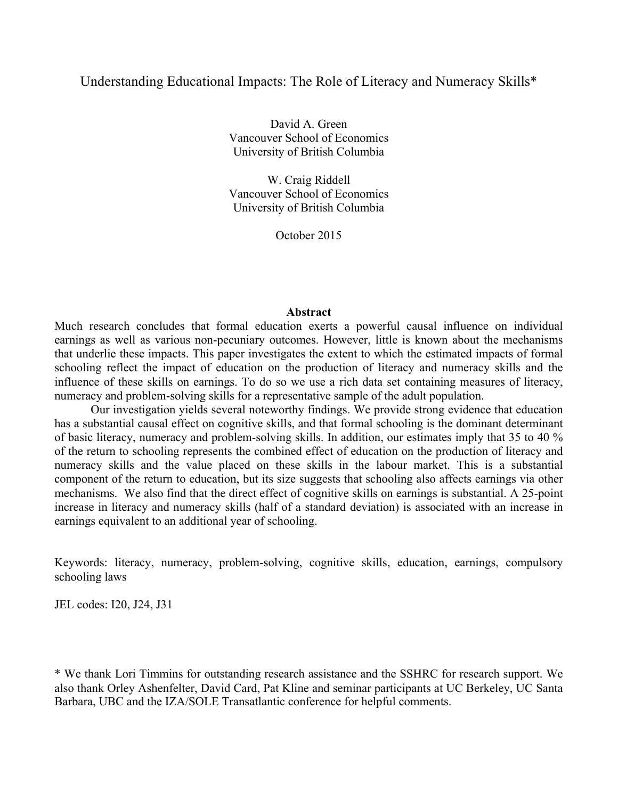# Understanding Educational Impacts: The Role of Literacy and Numeracy Skills\*

David A. Green Vancouver School of Economics University of British Columbia

W. Craig Riddell Vancouver School of Economics University of British Columbia

October 2015

#### **Abstract**

Much research concludes that formal education exerts a powerful causal influence on individual earnings as well as various non-pecuniary outcomes. However, little is known about the mechanisms that underlie these impacts. This paper investigates the extent to which the estimated impacts of formal schooling reflect the impact of education on the production of literacy and numeracy skills and the influence of these skills on earnings. To do so we use a rich data set containing measures of literacy, numeracy and problem-solving skills for a representative sample of the adult population.

Our investigation yields several noteworthy findings. We provide strong evidence that education has a substantial causal effect on cognitive skills, and that formal schooling is the dominant determinant of basic literacy, numeracy and problem-solving skills. In addition, our estimates imply that 35 to 40 % of the return to schooling represents the combined effect of education on the production of literacy and numeracy skills and the value placed on these skills in the labour market. This is a substantial component of the return to education, but its size suggests that schooling also affects earnings via other mechanisms. We also find that the direct effect of cognitive skills on earnings is substantial. A 25-point increase in literacy and numeracy skills (half of a standard deviation) is associated with an increase in earnings equivalent to an additional year of schooling.

Keywords: literacy, numeracy, problem-solving, cognitive skills, education, earnings, compulsory schooling laws

JEL codes: I20, J24, J31

\* We thank Lori Timmins for outstanding research assistance and the SSHRC for research support. We also thank Orley Ashenfelter, David Card, Pat Kline and seminar participants at UC Berkeley, UC Santa Barbara, UBC and the IZA/SOLE Transatlantic conference for helpful comments.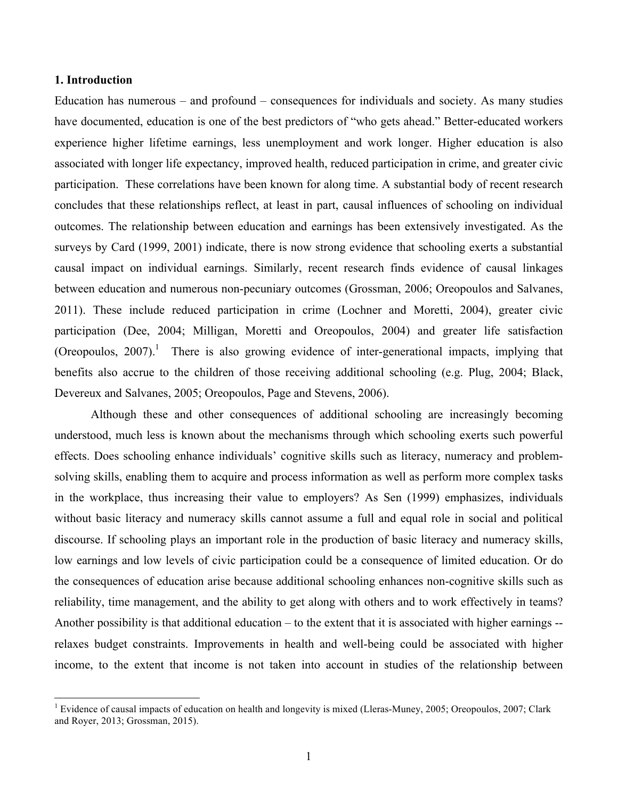#### **1. Introduction**

Education has numerous – and profound – consequences for individuals and society. As many studies have documented, education is one of the best predictors of "who gets ahead." Better-educated workers experience higher lifetime earnings, less unemployment and work longer. Higher education is also associated with longer life expectancy, improved health, reduced participation in crime, and greater civic participation. These correlations have been known for along time. A substantial body of recent research concludes that these relationships reflect, at least in part, causal influences of schooling on individual outcomes. The relationship between education and earnings has been extensively investigated. As the surveys by Card (1999, 2001) indicate, there is now strong evidence that schooling exerts a substantial causal impact on individual earnings. Similarly, recent research finds evidence of causal linkages between education and numerous non-pecuniary outcomes (Grossman, 2006; Oreopoulos and Salvanes, 2011). These include reduced participation in crime (Lochner and Moretti, 2004), greater civic participation (Dee, 2004; Milligan, Moretti and Oreopoulos, 2004) and greater life satisfaction (Oreopoulos,  $2007$ ).<sup>1</sup> There is also growing evidence of inter-generational impacts, implying that benefits also accrue to the children of those receiving additional schooling (e.g. Plug, 2004; Black, Devereux and Salvanes, 2005; Oreopoulos, Page and Stevens, 2006).

Although these and other consequences of additional schooling are increasingly becoming understood, much less is known about the mechanisms through which schooling exerts such powerful effects. Does schooling enhance individuals' cognitive skills such as literacy, numeracy and problemsolving skills, enabling them to acquire and process information as well as perform more complex tasks in the workplace, thus increasing their value to employers? As Sen (1999) emphasizes, individuals without basic literacy and numeracy skills cannot assume a full and equal role in social and political discourse. If schooling plays an important role in the production of basic literacy and numeracy skills, low earnings and low levels of civic participation could be a consequence of limited education. Or do the consequences of education arise because additional schooling enhances non-cognitive skills such as reliability, time management, and the ability to get along with others and to work effectively in teams? Another possibility is that additional education – to the extent that it is associated with higher earnings - relaxes budget constraints. Improvements in health and well-being could be associated with higher income, to the extent that income is not taken into account in studies of the relationship between

 $1$  Evidence of causal impacts of education on health and longevity is mixed (Lleras-Muney, 2005; Oreopoulos, 2007; Clark and Royer, 2013; Grossman, 2015).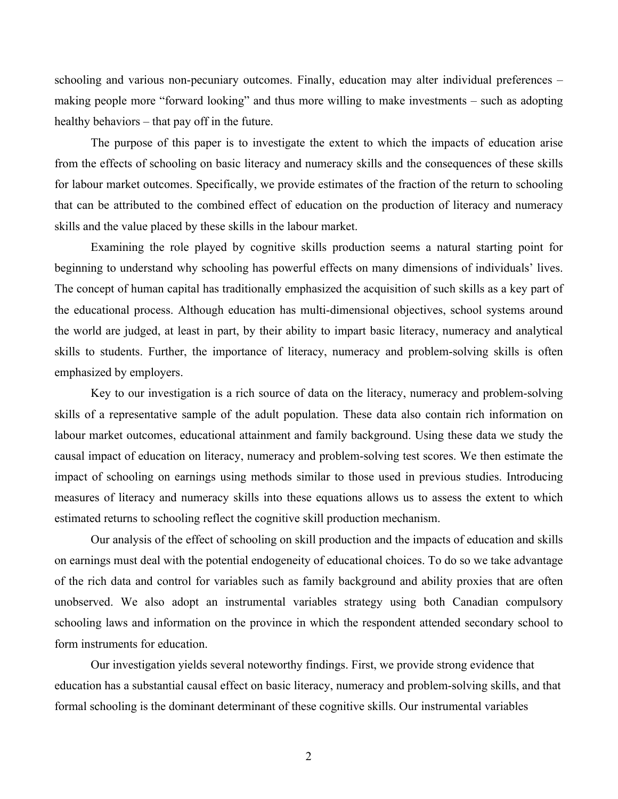schooling and various non-pecuniary outcomes. Finally, education may alter individual preferences – making people more "forward looking" and thus more willing to make investments – such as adopting healthy behaviors – that pay off in the future.

The purpose of this paper is to investigate the extent to which the impacts of education arise from the effects of schooling on basic literacy and numeracy skills and the consequences of these skills for labour market outcomes. Specifically, we provide estimates of the fraction of the return to schooling that can be attributed to the combined effect of education on the production of literacy and numeracy skills and the value placed by these skills in the labour market.

Examining the role played by cognitive skills production seems a natural starting point for beginning to understand why schooling has powerful effects on many dimensions of individuals' lives. The concept of human capital has traditionally emphasized the acquisition of such skills as a key part of the educational process. Although education has multi-dimensional objectives, school systems around the world are judged, at least in part, by their ability to impart basic literacy, numeracy and analytical skills to students. Further, the importance of literacy, numeracy and problem-solving skills is often emphasized by employers.

Key to our investigation is a rich source of data on the literacy, numeracy and problem-solving skills of a representative sample of the adult population. These data also contain rich information on labour market outcomes, educational attainment and family background. Using these data we study the causal impact of education on literacy, numeracy and problem-solving test scores. We then estimate the impact of schooling on earnings using methods similar to those used in previous studies. Introducing measures of literacy and numeracy skills into these equations allows us to assess the extent to which estimated returns to schooling reflect the cognitive skill production mechanism.

Our analysis of the effect of schooling on skill production and the impacts of education and skills on earnings must deal with the potential endogeneity of educational choices. To do so we take advantage of the rich data and control for variables such as family background and ability proxies that are often unobserved. We also adopt an instrumental variables strategy using both Canadian compulsory schooling laws and information on the province in which the respondent attended secondary school to form instruments for education.

Our investigation yields several noteworthy findings. First, we provide strong evidence that education has a substantial causal effect on basic literacy, numeracy and problem-solving skills, and that formal schooling is the dominant determinant of these cognitive skills. Our instrumental variables

2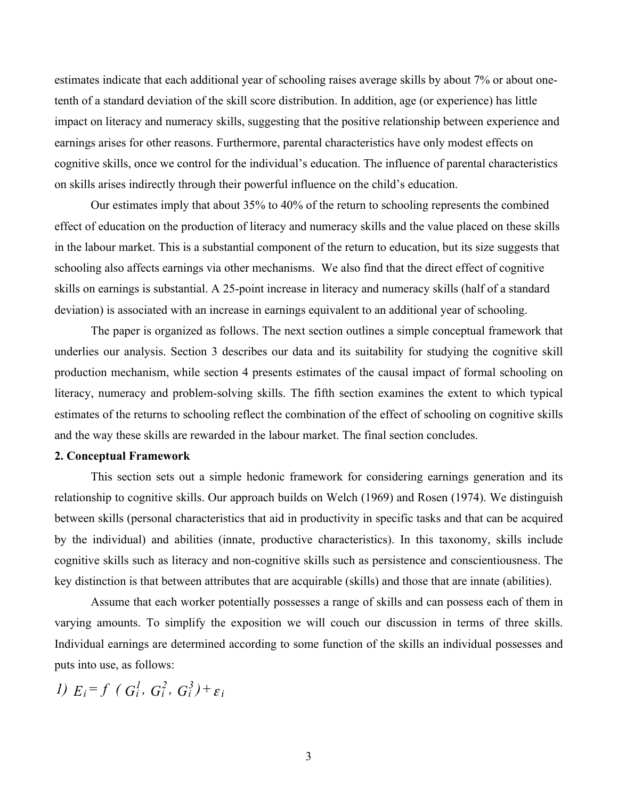estimates indicate that each additional year of schooling raises average skills by about 7% or about onetenth of a standard deviation of the skill score distribution. In addition, age (or experience) has little impact on literacy and numeracy skills, suggesting that the positive relationship between experience and earnings arises for other reasons. Furthermore, parental characteristics have only modest effects on cognitive skills, once we control for the individual's education. The influence of parental characteristics on skills arises indirectly through their powerful influence on the child's education.

Our estimates imply that about 35% to 40% of the return to schooling represents the combined effect of education on the production of literacy and numeracy skills and the value placed on these skills in the labour market. This is a substantial component of the return to education, but its size suggests that schooling also affects earnings via other mechanisms. We also find that the direct effect of cognitive skills on earnings is substantial. A 25-point increase in literacy and numeracy skills (half of a standard deviation) is associated with an increase in earnings equivalent to an additional year of schooling.

The paper is organized as follows. The next section outlines a simple conceptual framework that underlies our analysis. Section 3 describes our data and its suitability for studying the cognitive skill production mechanism, while section 4 presents estimates of the causal impact of formal schooling on literacy, numeracy and problem-solving skills. The fifth section examines the extent to which typical estimates of the returns to schooling reflect the combination of the effect of schooling on cognitive skills and the way these skills are rewarded in the labour market. The final section concludes.

#### **2. Conceptual Framework**

This section sets out a simple hedonic framework for considering earnings generation and its relationship to cognitive skills. Our approach builds on Welch (1969) and Rosen (1974). We distinguish between skills (personal characteristics that aid in productivity in specific tasks and that can be acquired by the individual) and abilities (innate, productive characteristics). In this taxonomy, skills include cognitive skills such as literacy and non-cognitive skills such as persistence and conscientiousness. The key distinction is that between attributes that are acquirable (skills) and those that are innate (abilities).

Assume that each worker potentially possesses a range of skills and can possess each of them in varying amounts. To simplify the exposition we will couch our discussion in terms of three skills. Individual earnings are determined according to some function of the skills an individual possesses and puts into use, as follows:

<sup>ε</sup> *i 3 i 2 l*)  $E_i = f$  ( $G_i^1$ ,  $G_i^2$ ,  $G_i^3$ )+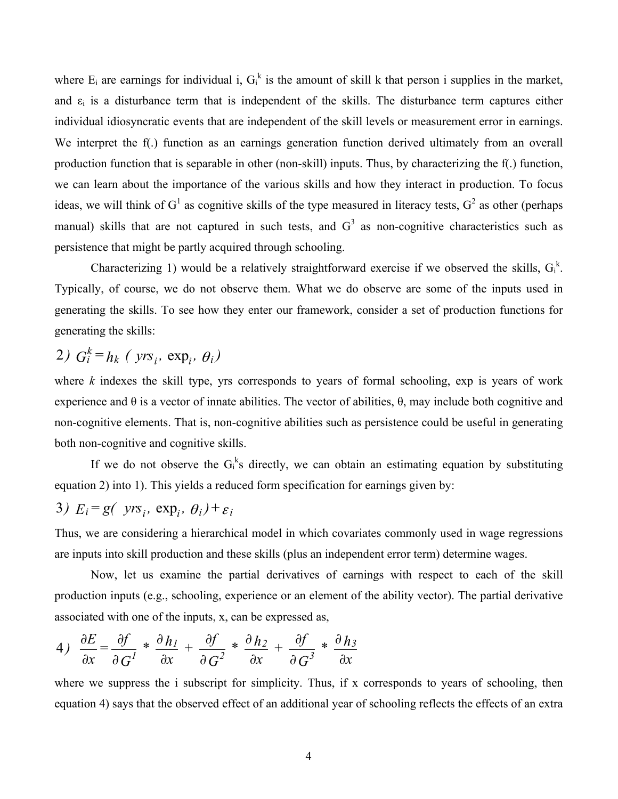where  $E_i$  are earnings for individual i,  $G_i^k$  is the amount of skill k that person i supplies in the market, and  $\varepsilon_i$  is a disturbance term that is independent of the skills. The disturbance term captures either individual idiosyncratic events that are independent of the skill levels or measurement error in earnings. We interpret the f(.) function as an earnings generation function derived ultimately from an overall production function that is separable in other (non-skill) inputs. Thus, by characterizing the f(.) function, we can learn about the importance of the various skills and how they interact in production. To focus ideas, we will think of  $G<sup>1</sup>$  as cognitive skills of the type measured in literacy tests,  $G<sup>2</sup>$  as other (perhaps manual) skills that are not captured in such tests, and  $G<sup>3</sup>$  as non-cognitive characteristics such as persistence that might be partly acquired through schooling.

Characterizing 1) would be a relatively straightforward exercise if we observed the skills,  $G_i^k$ . Typically, of course, we do not observe them. What we do observe are some of the inputs used in generating the skills. To see how they enter our framework, consider a set of production functions for generating the skills:

# 2)  $G_i^k = h_k$  (*yrs*<sub>*i*</sub>, exp<sub>*i*</sub>,  $\theta_i$ )

where *k* indexes the skill type, yrs corresponds to years of formal schooling, exp is years of work experience and  $\theta$  is a vector of innate abilities. The vector of abilities,  $\theta$ , may include both cognitive and non-cognitive elements. That is, non-cognitive abilities such as persistence could be useful in generating both non-cognitive and cognitive skills.

If we do not observe the  $G_i^k$ s directly, we can obtain an estimating equation by substituting equation 2) into 1). This yields a reduced form specification for earnings given by:

3) 
$$
E_i = g(\gamma \, \text{yrs}_i, \, \text{exp}_i, \, \theta_i) + \varepsilon_i
$$

Thus, we are considering a hierarchical model in which covariates commonly used in wage regressions are inputs into skill production and these skills (plus an independent error term) determine wages.

Now, let us examine the partial derivatives of earnings with respect to each of the skill production inputs (e.g., schooling, experience or an element of the ability vector). The partial derivative associated with one of the inputs, x, can be expressed as,

4) 
$$
\frac{\partial E}{\partial x} = \frac{\partial f}{\partial G^1} * \frac{\partial h_1}{\partial x} + \frac{\partial f}{\partial G^2} * \frac{\partial h_2}{\partial x} + \frac{\partial f}{\partial G^3} * \frac{\partial h_3}{\partial x}
$$

where we suppress the *i* subscript for simplicity. Thus, if x corresponds to years of schooling, then equation 4) says that the observed effect of an additional year of schooling reflects the effects of an extra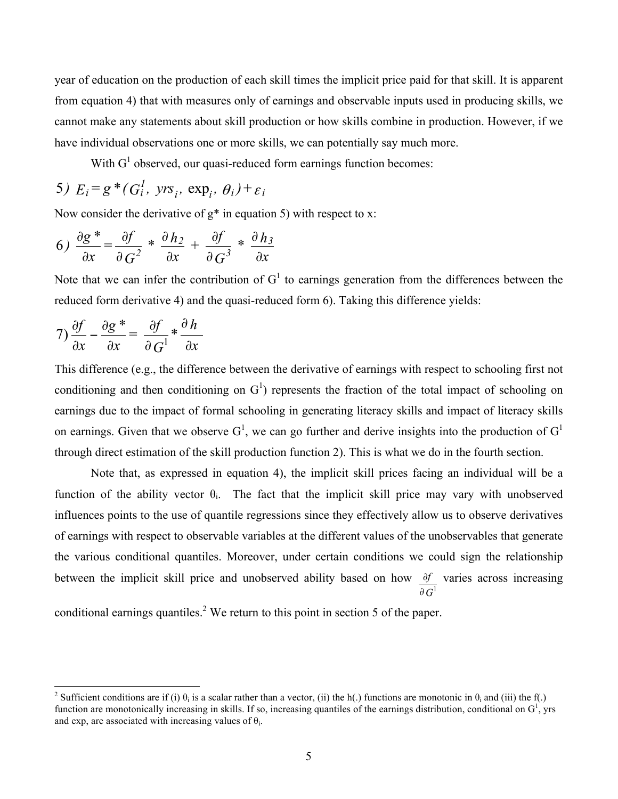year of education on the production of each skill times the implicit price paid for that skill. It is apparent from equation 4) that with measures only of earnings and observable inputs used in producing skills, we cannot make any statements about skill production or how skills combine in production. However, if we have individual observations one or more skills, we can potentially say much more.

With  $G<sup>1</sup>$  observed, our quasi-reduced form earnings function becomes:

5) 
$$
E_i = g^*(G_i^l, yrs_i, \exp_i, \theta_i) + \varepsilon_i
$$

Now consider the derivative of  $g^*$  in equation 5) with respect to x:

$$
6) \frac{\partial g^*}{\partial x} = \frac{\partial f}{\partial G^2} * \frac{\partial h_2}{\partial x} + \frac{\partial f}{\partial G^3} * \frac{\partial h_3}{\partial x}
$$

Note that we can infer the contribution of  $G<sup>1</sup>$  to earnings generation from the differences between the reduced form derivative 4) and the quasi-reduced form 6). Taking this difference yields:

$$
7\frac{\partial f}{\partial x} - \frac{\partial g}{\partial x} = \frac{\partial f}{\partial G} \cdot \frac{\partial h}{\partial x}
$$

This difference (e.g., the difference between the derivative of earnings with respect to schooling first not conditioning and then conditioning on  $G<sup>1</sup>$ ) represents the fraction of the total impact of schooling on earnings due to the impact of formal schooling in generating literacy skills and impact of literacy skills on earnings. Given that we observe  $G^1$ , we can go further and derive insights into the production of  $G^1$ through direct estimation of the skill production function 2). This is what we do in the fourth section.

Note that, as expressed in equation 4), the implicit skill prices facing an individual will be a function of the ability vector  $\theta_i$ . The fact that the implicit skill price may vary with unobserved influences points to the use of quantile regressions since they effectively allow us to observe derivatives of earnings with respect to observable variables at the different values of the unobservables that generate the various conditional quantiles. Moreover, under certain conditions we could sign the relationship between the implicit skill price and unobserved ability based on how *G f*  $\partial\, G^1$ ∂f varies across increasing

conditional earnings quantiles.<sup>2</sup> We return to this point in section 5 of the paper.

<sup>&</sup>lt;sup>2</sup> Sufficient conditions are if (i)  $\theta_i$  is a scalar rather than a vector, (ii) the h(.) functions are monotonic in  $\theta_i$  and (iii) the f(.) function are monotonically increasing in skills. If so, increasing quantiles of the earnings distribution, conditional on  $G^1$ , yrs and exp, are associated with increasing values of  $\theta_i$ .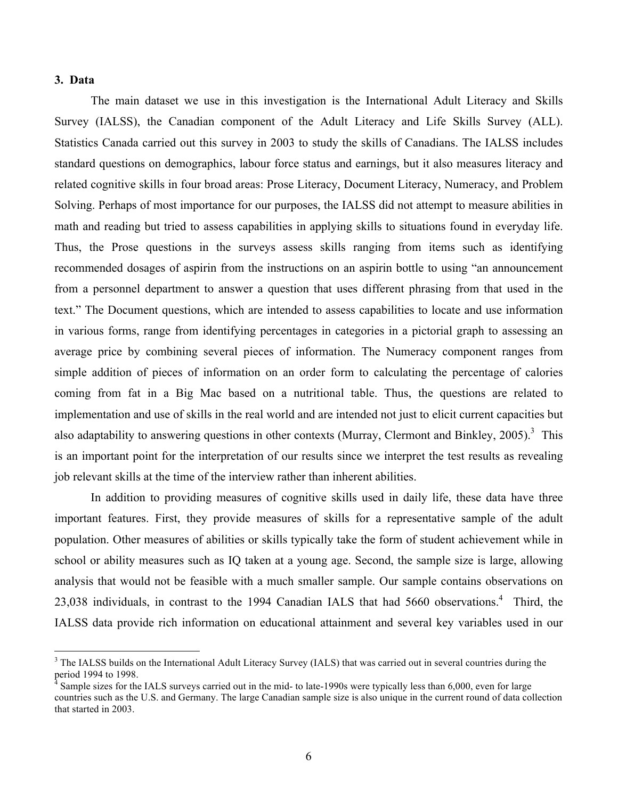#### **3. Data**

The main dataset we use in this investigation is the International Adult Literacy and Skills Survey (IALSS), the Canadian component of the Adult Literacy and Life Skills Survey (ALL). Statistics Canada carried out this survey in 2003 to study the skills of Canadians. The IALSS includes standard questions on demographics, labour force status and earnings, but it also measures literacy and related cognitive skills in four broad areas: Prose Literacy, Document Literacy, Numeracy, and Problem Solving. Perhaps of most importance for our purposes, the IALSS did not attempt to measure abilities in math and reading but tried to assess capabilities in applying skills to situations found in everyday life. Thus, the Prose questions in the surveys assess skills ranging from items such as identifying recommended dosages of aspirin from the instructions on an aspirin bottle to using "an announcement from a personnel department to answer a question that uses different phrasing from that used in the text." The Document questions, which are intended to assess capabilities to locate and use information in various forms, range from identifying percentages in categories in a pictorial graph to assessing an average price by combining several pieces of information. The Numeracy component ranges from simple addition of pieces of information on an order form to calculating the percentage of calories coming from fat in a Big Mac based on a nutritional table. Thus, the questions are related to implementation and use of skills in the real world and are intended not just to elicit current capacities but also adaptability to answering questions in other contexts (Murray, Clermont and Binkley, 2005).<sup>3</sup> This is an important point for the interpretation of our results since we interpret the test results as revealing job relevant skills at the time of the interview rather than inherent abilities.

In addition to providing measures of cognitive skills used in daily life, these data have three important features. First, they provide measures of skills for a representative sample of the adult population. Other measures of abilities or skills typically take the form of student achievement while in school or ability measures such as IQ taken at a young age. Second, the sample size is large, allowing analysis that would not be feasible with a much smaller sample. Our sample contains observations on 23,038 individuals, in contrast to the 1994 Canadian IALS that had 5660 observations.<sup>4</sup> Third, the IALSS data provide rich information on educational attainment and several key variables used in our

<sup>&</sup>lt;sup>3</sup> The IALSS builds on the International Adult Literacy Survey (IALS) that was carried out in several countries during the period 1994 to 1998.

Sample sizes for the IALS surveys carried out in the mid- to late-1990s were typically less than 6,000, even for large countries such as the U.S. and Germany. The large Canadian sample size is also unique in the current round of data collection that started in 2003.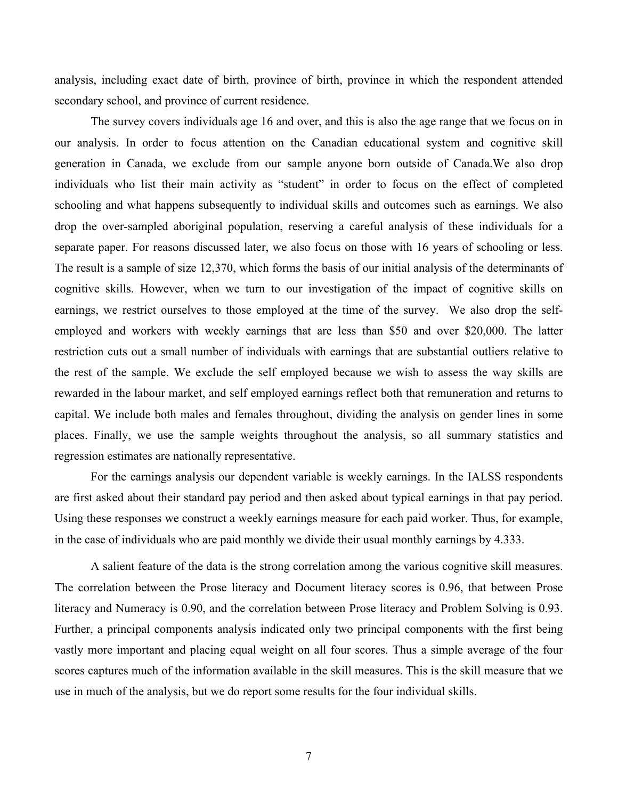analysis, including exact date of birth, province of birth, province in which the respondent attended secondary school, and province of current residence.

The survey covers individuals age 16 and over, and this is also the age range that we focus on in our analysis. In order to focus attention on the Canadian educational system and cognitive skill generation in Canada, we exclude from our sample anyone born outside of Canada.We also drop individuals who list their main activity as "student" in order to focus on the effect of completed schooling and what happens subsequently to individual skills and outcomes such as earnings. We also drop the over-sampled aboriginal population, reserving a careful analysis of these individuals for a separate paper. For reasons discussed later, we also focus on those with 16 years of schooling or less. The result is a sample of size 12,370, which forms the basis of our initial analysis of the determinants of cognitive skills. However, when we turn to our investigation of the impact of cognitive skills on earnings, we restrict ourselves to those employed at the time of the survey. We also drop the selfemployed and workers with weekly earnings that are less than \$50 and over \$20,000. The latter restriction cuts out a small number of individuals with earnings that are substantial outliers relative to the rest of the sample. We exclude the self employed because we wish to assess the way skills are rewarded in the labour market, and self employed earnings reflect both that remuneration and returns to capital. We include both males and females throughout, dividing the analysis on gender lines in some places. Finally, we use the sample weights throughout the analysis, so all summary statistics and regression estimates are nationally representative.

For the earnings analysis our dependent variable is weekly earnings. In the IALSS respondents are first asked about their standard pay period and then asked about typical earnings in that pay period. Using these responses we construct a weekly earnings measure for each paid worker. Thus, for example, in the case of individuals who are paid monthly we divide their usual monthly earnings by 4.333.

A salient feature of the data is the strong correlation among the various cognitive skill measures. The correlation between the Prose literacy and Document literacy scores is 0.96, that between Prose literacy and Numeracy is 0.90, and the correlation between Prose literacy and Problem Solving is 0.93. Further, a principal components analysis indicated only two principal components with the first being vastly more important and placing equal weight on all four scores. Thus a simple average of the four scores captures much of the information available in the skill measures. This is the skill measure that we use in much of the analysis, but we do report some results for the four individual skills.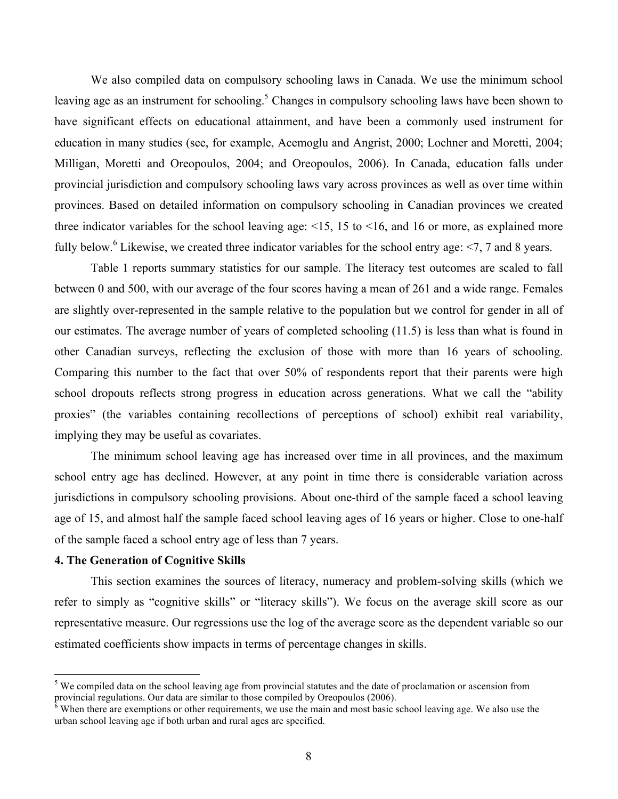We also compiled data on compulsory schooling laws in Canada. We use the minimum school leaving age as an instrument for schooling.<sup>5</sup> Changes in compulsory schooling laws have been shown to have significant effects on educational attainment, and have been a commonly used instrument for education in many studies (see, for example, Acemoglu and Angrist, 2000; Lochner and Moretti, 2004; Milligan, Moretti and Oreopoulos, 2004; and Oreopoulos, 2006). In Canada, education falls under provincial jurisdiction and compulsory schooling laws vary across provinces as well as over time within provinces. Based on detailed information on compulsory schooling in Canadian provinces we created three indicator variables for the school leaving age:  $\leq 15$ , 15 to  $\leq 16$ , and 16 or more, as explained more fully below.<sup>6</sup> Likewise, we created three indicator variables for the school entry age:  $\leq$ 7, 7 and 8 years.

Table 1 reports summary statistics for our sample. The literacy test outcomes are scaled to fall between 0 and 500, with our average of the four scores having a mean of 261 and a wide range. Females are slightly over-represented in the sample relative to the population but we control for gender in all of our estimates. The average number of years of completed schooling (11.5) is less than what is found in other Canadian surveys, reflecting the exclusion of those with more than 16 years of schooling. Comparing this number to the fact that over 50% of respondents report that their parents were high school dropouts reflects strong progress in education across generations. What we call the "ability proxies" (the variables containing recollections of perceptions of school) exhibit real variability, implying they may be useful as covariates.

The minimum school leaving age has increased over time in all provinces, and the maximum school entry age has declined. However, at any point in time there is considerable variation across jurisdictions in compulsory schooling provisions. About one-third of the sample faced a school leaving age of 15, and almost half the sample faced school leaving ages of 16 years or higher. Close to one-half of the sample faced a school entry age of less than 7 years.

### **4. The Generation of Cognitive Skills**

This section examines the sources of literacy, numeracy and problem-solving skills (which we refer to simply as "cognitive skills" or "literacy skills"). We focus on the average skill score as our representative measure. Our regressions use the log of the average score as the dependent variable so our estimated coefficients show impacts in terms of percentage changes in skills.

 $5$  We compiled data on the school leaving age from provincial statutes and the date of proclamation or ascension from provincial regulations. Our data are similar to those compiled by Oreopoulos (2006).

<sup>&</sup>lt;sup>6</sup> When there are exemptions or other requirements, we use the main and most basic school leaving age. We also use the urban school leaving age if both urban and rural ages are specified.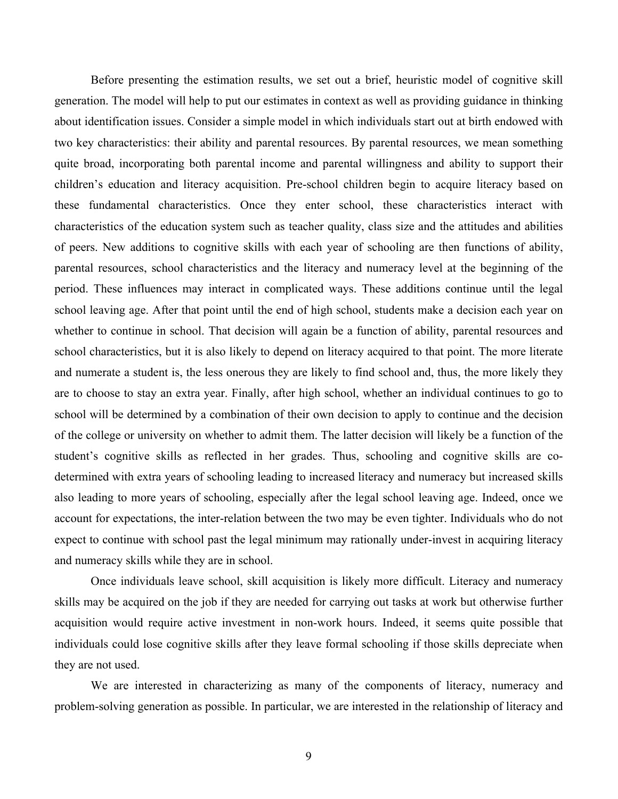Before presenting the estimation results, we set out a brief, heuristic model of cognitive skill generation. The model will help to put our estimates in context as well as providing guidance in thinking about identification issues. Consider a simple model in which individuals start out at birth endowed with two key characteristics: their ability and parental resources. By parental resources, we mean something quite broad, incorporating both parental income and parental willingness and ability to support their children's education and literacy acquisition. Pre-school children begin to acquire literacy based on these fundamental characteristics. Once they enter school, these characteristics interact with characteristics of the education system such as teacher quality, class size and the attitudes and abilities of peers. New additions to cognitive skills with each year of schooling are then functions of ability, parental resources, school characteristics and the literacy and numeracy level at the beginning of the period. These influences may interact in complicated ways. These additions continue until the legal school leaving age. After that point until the end of high school, students make a decision each year on whether to continue in school. That decision will again be a function of ability, parental resources and school characteristics, but it is also likely to depend on literacy acquired to that point. The more literate and numerate a student is, the less onerous they are likely to find school and, thus, the more likely they are to choose to stay an extra year. Finally, after high school, whether an individual continues to go to school will be determined by a combination of their own decision to apply to continue and the decision of the college or university on whether to admit them. The latter decision will likely be a function of the student's cognitive skills as reflected in her grades. Thus, schooling and cognitive skills are codetermined with extra years of schooling leading to increased literacy and numeracy but increased skills also leading to more years of schooling, especially after the legal school leaving age. Indeed, once we account for expectations, the inter-relation between the two may be even tighter. Individuals who do not expect to continue with school past the legal minimum may rationally under-invest in acquiring literacy and numeracy skills while they are in school.

Once individuals leave school, skill acquisition is likely more difficult. Literacy and numeracy skills may be acquired on the job if they are needed for carrying out tasks at work but otherwise further acquisition would require active investment in non-work hours. Indeed, it seems quite possible that individuals could lose cognitive skills after they leave formal schooling if those skills depreciate when they are not used.

We are interested in characterizing as many of the components of literacy, numeracy and problem-solving generation as possible. In particular, we are interested in the relationship of literacy and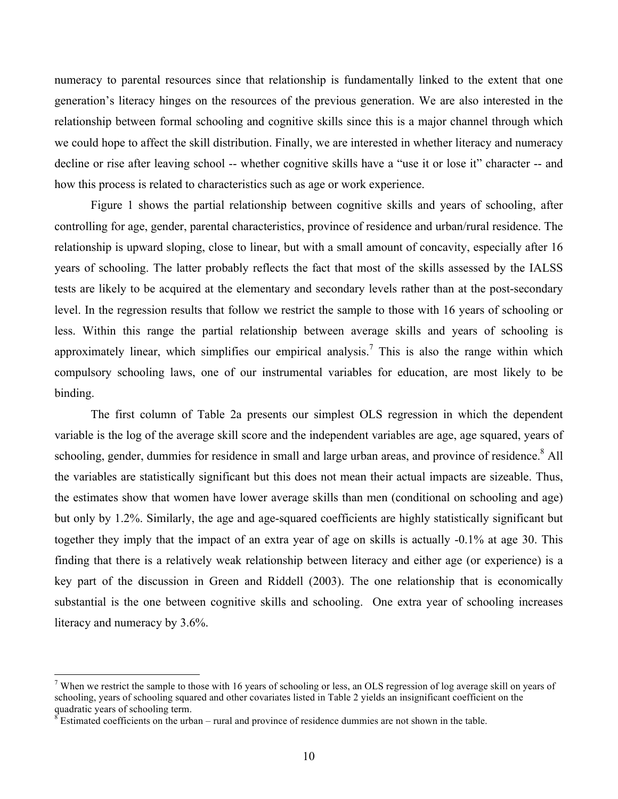numeracy to parental resources since that relationship is fundamentally linked to the extent that one generation's literacy hinges on the resources of the previous generation. We are also interested in the relationship between formal schooling and cognitive skills since this is a major channel through which we could hope to affect the skill distribution. Finally, we are interested in whether literacy and numeracy decline or rise after leaving school -- whether cognitive skills have a "use it or lose it" character -- and how this process is related to characteristics such as age or work experience.

Figure 1 shows the partial relationship between cognitive skills and years of schooling, after controlling for age, gender, parental characteristics, province of residence and urban/rural residence. The relationship is upward sloping, close to linear, but with a small amount of concavity, especially after 16 years of schooling. The latter probably reflects the fact that most of the skills assessed by the IALSS tests are likely to be acquired at the elementary and secondary levels rather than at the post-secondary level. In the regression results that follow we restrict the sample to those with 16 years of schooling or less. Within this range the partial relationship between average skills and years of schooling is approximately linear, which simplifies our empirical analysis.<sup>7</sup> This is also the range within which compulsory schooling laws, one of our instrumental variables for education, are most likely to be binding.

The first column of Table 2a presents our simplest OLS regression in which the dependent variable is the log of the average skill score and the independent variables are age, age squared, years of schooling, gender, dummies for residence in small and large urban areas, and province of residence.<sup>8</sup> All the variables are statistically significant but this does not mean their actual impacts are sizeable. Thus, the estimates show that women have lower average skills than men (conditional on schooling and age) but only by 1.2%. Similarly, the age and age-squared coefficients are highly statistically significant but together they imply that the impact of an extra year of age on skills is actually -0.1% at age 30. This finding that there is a relatively weak relationship between literacy and either age (or experience) is a key part of the discussion in Green and Riddell (2003). The one relationship that is economically substantial is the one between cognitive skills and schooling. One extra year of schooling increases literacy and numeracy by 3.6%.

<sup>&</sup>lt;sup>7</sup> When we restrict the sample to those with 16 years of schooling or less, an OLS regression of log average skill on years of schooling, years of schooling squared and other covariates listed in Table 2 yields an insignificant coefficient on the quadratic years of schooling term.

<sup>8</sup> Estimated coefficients on the urban – rural and province of residence dummies are not shown in the table.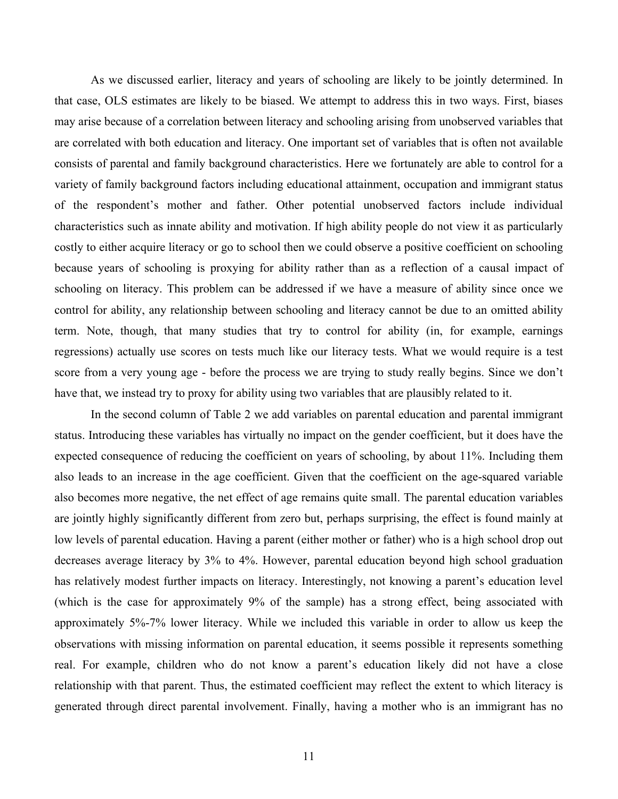As we discussed earlier, literacy and years of schooling are likely to be jointly determined. In that case, OLS estimates are likely to be biased. We attempt to address this in two ways. First, biases may arise because of a correlation between literacy and schooling arising from unobserved variables that are correlated with both education and literacy. One important set of variables that is often not available consists of parental and family background characteristics. Here we fortunately are able to control for a variety of family background factors including educational attainment, occupation and immigrant status of the respondent's mother and father. Other potential unobserved factors include individual characteristics such as innate ability and motivation. If high ability people do not view it as particularly costly to either acquire literacy or go to school then we could observe a positive coefficient on schooling because years of schooling is proxying for ability rather than as a reflection of a causal impact of schooling on literacy. This problem can be addressed if we have a measure of ability since once we control for ability, any relationship between schooling and literacy cannot be due to an omitted ability term. Note, though, that many studies that try to control for ability (in, for example, earnings regressions) actually use scores on tests much like our literacy tests. What we would require is a test score from a very young age - before the process we are trying to study really begins. Since we don't have that, we instead try to proxy for ability using two variables that are plausibly related to it.

In the second column of Table 2 we add variables on parental education and parental immigrant status. Introducing these variables has virtually no impact on the gender coefficient, but it does have the expected consequence of reducing the coefficient on years of schooling, by about 11%. Including them also leads to an increase in the age coefficient. Given that the coefficient on the age-squared variable also becomes more negative, the net effect of age remains quite small. The parental education variables are jointly highly significantly different from zero but, perhaps surprising, the effect is found mainly at low levels of parental education. Having a parent (either mother or father) who is a high school drop out decreases average literacy by 3% to 4%. However, parental education beyond high school graduation has relatively modest further impacts on literacy. Interestingly, not knowing a parent's education level (which is the case for approximately 9% of the sample) has a strong effect, being associated with approximately 5%-7% lower literacy. While we included this variable in order to allow us keep the observations with missing information on parental education, it seems possible it represents something real. For example, children who do not know a parent's education likely did not have a close relationship with that parent. Thus, the estimated coefficient may reflect the extent to which literacy is generated through direct parental involvement. Finally, having a mother who is an immigrant has no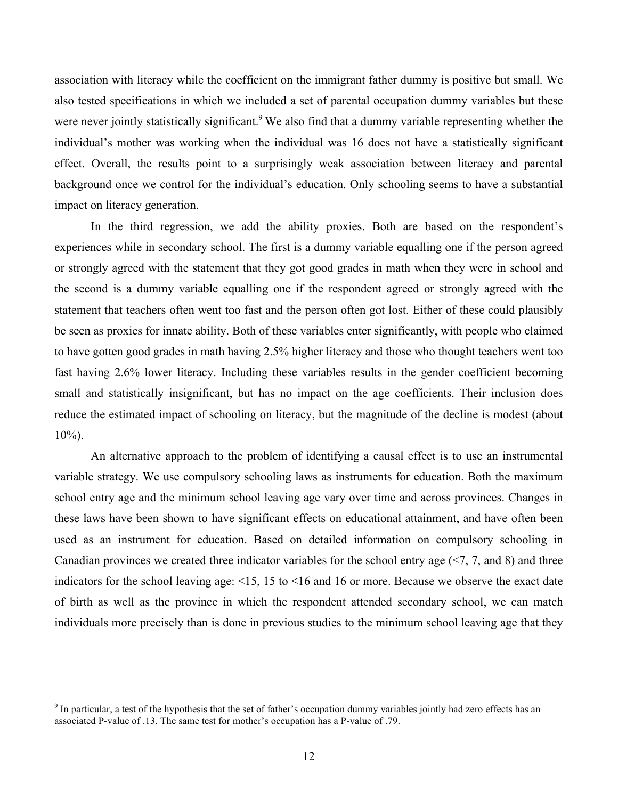association with literacy while the coefficient on the immigrant father dummy is positive but small. We also tested specifications in which we included a set of parental occupation dummy variables but these were never jointly statistically significant.<sup>9</sup> We also find that a dummy variable representing whether the individual's mother was working when the individual was 16 does not have a statistically significant effect. Overall, the results point to a surprisingly weak association between literacy and parental background once we control for the individual's education. Only schooling seems to have a substantial impact on literacy generation.

In the third regression, we add the ability proxies. Both are based on the respondent's experiences while in secondary school. The first is a dummy variable equalling one if the person agreed or strongly agreed with the statement that they got good grades in math when they were in school and the second is a dummy variable equalling one if the respondent agreed or strongly agreed with the statement that teachers often went too fast and the person often got lost. Either of these could plausibly be seen as proxies for innate ability. Both of these variables enter significantly, with people who claimed to have gotten good grades in math having 2.5% higher literacy and those who thought teachers went too fast having 2.6% lower literacy. Including these variables results in the gender coefficient becoming small and statistically insignificant, but has no impact on the age coefficients. Their inclusion does reduce the estimated impact of schooling on literacy, but the magnitude of the decline is modest (about  $10\%$ ).

An alternative approach to the problem of identifying a causal effect is to use an instrumental variable strategy. We use compulsory schooling laws as instruments for education. Both the maximum school entry age and the minimum school leaving age vary over time and across provinces. Changes in these laws have been shown to have significant effects on educational attainment, and have often been used as an instrument for education. Based on detailed information on compulsory schooling in Canadian provinces we created three indicator variables for the school entry age  $($ indicators for the school leaving age: <15, 15 to <16 and 16 or more. Because we observe the exact date of birth as well as the province in which the respondent attended secondary school, we can match individuals more precisely than is done in previous studies to the minimum school leaving age that they

<sup>&</sup>lt;sup>9</sup> In particular, a test of the hypothesis that the set of father's occupation dummy variables jointly had zero effects has an associated P-value of .13. The same test for mother's occupation has a P-value of .79.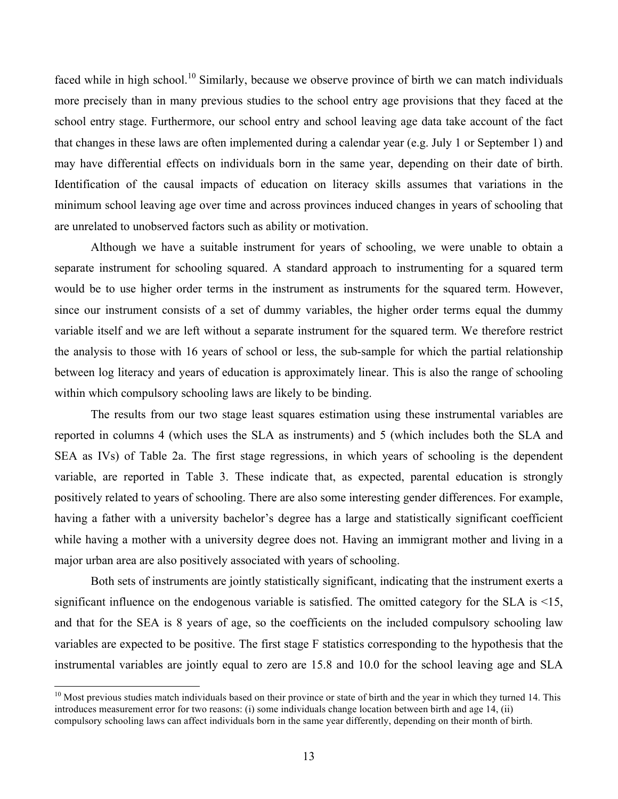faced while in high school.<sup>10</sup> Similarly, because we observe province of birth we can match individuals more precisely than in many previous studies to the school entry age provisions that they faced at the school entry stage. Furthermore, our school entry and school leaving age data take account of the fact that changes in these laws are often implemented during a calendar year (e.g. July 1 or September 1) and may have differential effects on individuals born in the same year, depending on their date of birth. Identification of the causal impacts of education on literacy skills assumes that variations in the minimum school leaving age over time and across provinces induced changes in years of schooling that are unrelated to unobserved factors such as ability or motivation.

Although we have a suitable instrument for years of schooling, we were unable to obtain a separate instrument for schooling squared. A standard approach to instrumenting for a squared term would be to use higher order terms in the instrument as instruments for the squared term. However, since our instrument consists of a set of dummy variables, the higher order terms equal the dummy variable itself and we are left without a separate instrument for the squared term. We therefore restrict the analysis to those with 16 years of school or less, the sub-sample for which the partial relationship between log literacy and years of education is approximately linear. This is also the range of schooling within which compulsory schooling laws are likely to be binding.

The results from our two stage least squares estimation using these instrumental variables are reported in columns 4 (which uses the SLA as instruments) and 5 (which includes both the SLA and SEA as IVs) of Table 2a. The first stage regressions, in which years of schooling is the dependent variable, are reported in Table 3. These indicate that, as expected, parental education is strongly positively related to years of schooling. There are also some interesting gender differences. For example, having a father with a university bachelor's degree has a large and statistically significant coefficient while having a mother with a university degree does not. Having an immigrant mother and living in a major urban area are also positively associated with years of schooling.

Both sets of instruments are jointly statistically significant, indicating that the instrument exerts a significant influence on the endogenous variable is satisfied. The omitted category for the SLA is <15, and that for the SEA is 8 years of age, so the coefficients on the included compulsory schooling law variables are expected to be positive. The first stage F statistics corresponding to the hypothesis that the instrumental variables are jointly equal to zero are 15.8 and 10.0 for the school leaving age and SLA

 $10$  Most previous studies match individuals based on their province or state of birth and the year in which they turned 14. This introduces measurement error for two reasons: (i) some individuals change location between birth and age 14, (ii) compulsory schooling laws can affect individuals born in the same year differently, depending on their month of birth.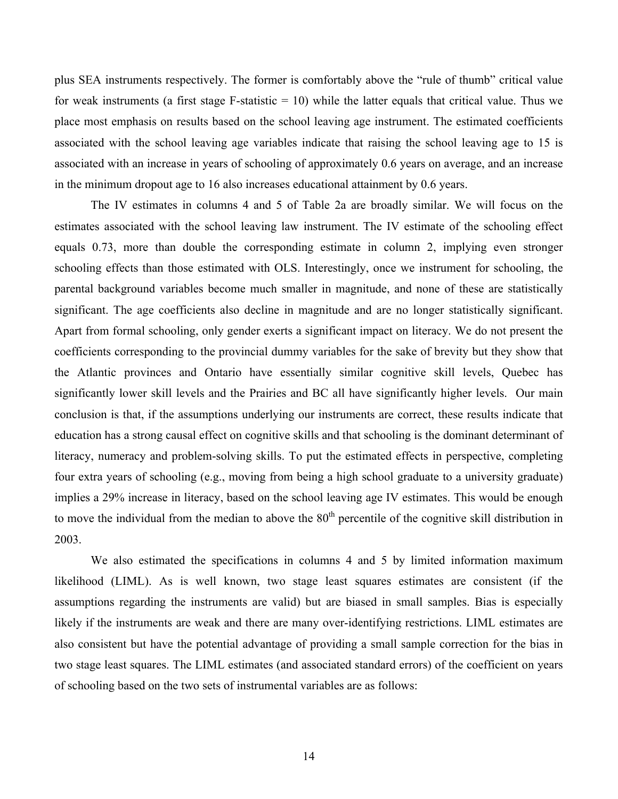plus SEA instruments respectively. The former is comfortably above the "rule of thumb" critical value for weak instruments (a first stage F-statistic  $= 10$ ) while the latter equals that critical value. Thus we place most emphasis on results based on the school leaving age instrument. The estimated coefficients associated with the school leaving age variables indicate that raising the school leaving age to 15 is associated with an increase in years of schooling of approximately 0.6 years on average, and an increase in the minimum dropout age to 16 also increases educational attainment by 0.6 years.

The IV estimates in columns 4 and 5 of Table 2a are broadly similar. We will focus on the estimates associated with the school leaving law instrument. The IV estimate of the schooling effect equals 0.73, more than double the corresponding estimate in column 2, implying even stronger schooling effects than those estimated with OLS. Interestingly, once we instrument for schooling, the parental background variables become much smaller in magnitude, and none of these are statistically significant. The age coefficients also decline in magnitude and are no longer statistically significant. Apart from formal schooling, only gender exerts a significant impact on literacy. We do not present the coefficients corresponding to the provincial dummy variables for the sake of brevity but they show that the Atlantic provinces and Ontario have essentially similar cognitive skill levels, Quebec has significantly lower skill levels and the Prairies and BC all have significantly higher levels. Our main conclusion is that, if the assumptions underlying our instruments are correct, these results indicate that education has a strong causal effect on cognitive skills and that schooling is the dominant determinant of literacy, numeracy and problem-solving skills. To put the estimated effects in perspective, completing four extra years of schooling (e.g., moving from being a high school graduate to a university graduate) implies a 29% increase in literacy, based on the school leaving age IV estimates. This would be enough to move the individual from the median to above the  $80<sup>th</sup>$  percentile of the cognitive skill distribution in 2003.

We also estimated the specifications in columns 4 and 5 by limited information maximum likelihood (LIML). As is well known, two stage least squares estimates are consistent (if the assumptions regarding the instruments are valid) but are biased in small samples. Bias is especially likely if the instruments are weak and there are many over-identifying restrictions. LIML estimates are also consistent but have the potential advantage of providing a small sample correction for the bias in two stage least squares. The LIML estimates (and associated standard errors) of the coefficient on years of schooling based on the two sets of instrumental variables are as follows: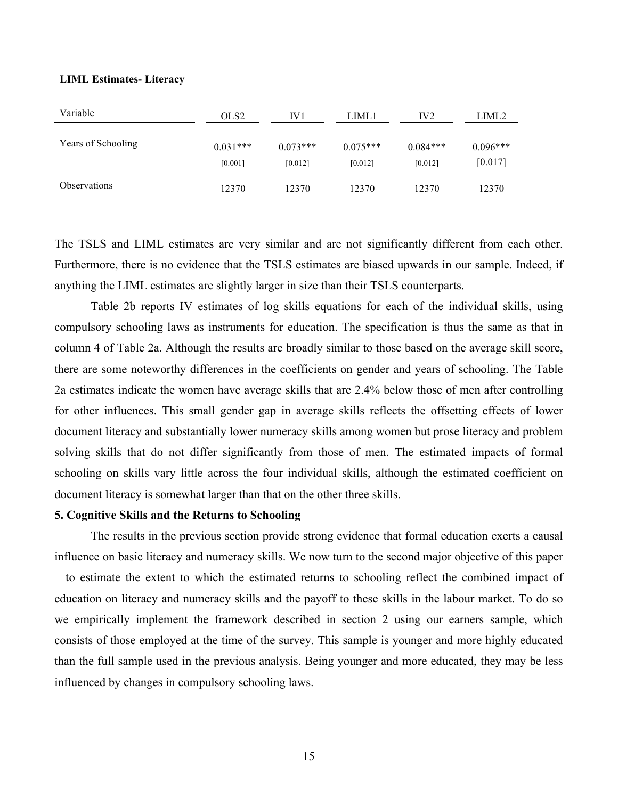#### **LIML Estimates- Literacy**

| Variable           | OLS <sub>2</sub>      | IV1                   | LIML1                 | IV <sub>2</sub>       | LIML <sub>2</sub>     |
|--------------------|-----------------------|-----------------------|-----------------------|-----------------------|-----------------------|
| Years of Schooling | $0.031***$<br>[0.001] | $0.073***$<br>[0.012] | $0.075***$<br>[0.012] | $0.084***$<br>[0.012] | $0.096***$<br>[0.017] |
| Observations       | 12370                 | 12370                 | 12370                 | 12370                 | 12370                 |

The TSLS and LIML estimates are very similar and are not significantly different from each other. Furthermore, there is no evidence that the TSLS estimates are biased upwards in our sample. Indeed, if anything the LIML estimates are slightly larger in size than their TSLS counterparts.

Table 2b reports IV estimates of log skills equations for each of the individual skills, using compulsory schooling laws as instruments for education. The specification is thus the same as that in column 4 of Table 2a. Although the results are broadly similar to those based on the average skill score, there are some noteworthy differences in the coefficients on gender and years of schooling. The Table 2a estimates indicate the women have average skills that are 2.4% below those of men after controlling for other influences. This small gender gap in average skills reflects the offsetting effects of lower document literacy and substantially lower numeracy skills among women but prose literacy and problem solving skills that do not differ significantly from those of men. The estimated impacts of formal schooling on skills vary little across the four individual skills, although the estimated coefficient on document literacy is somewhat larger than that on the other three skills.

#### **5. Cognitive Skills and the Returns to Schooling**

The results in the previous section provide strong evidence that formal education exerts a causal influence on basic literacy and numeracy skills. We now turn to the second major objective of this paper – to estimate the extent to which the estimated returns to schooling reflect the combined impact of education on literacy and numeracy skills and the payoff to these skills in the labour market. To do so we empirically implement the framework described in section 2 using our earners sample, which consists of those employed at the time of the survey. This sample is younger and more highly educated than the full sample used in the previous analysis. Being younger and more educated, they may be less influenced by changes in compulsory schooling laws.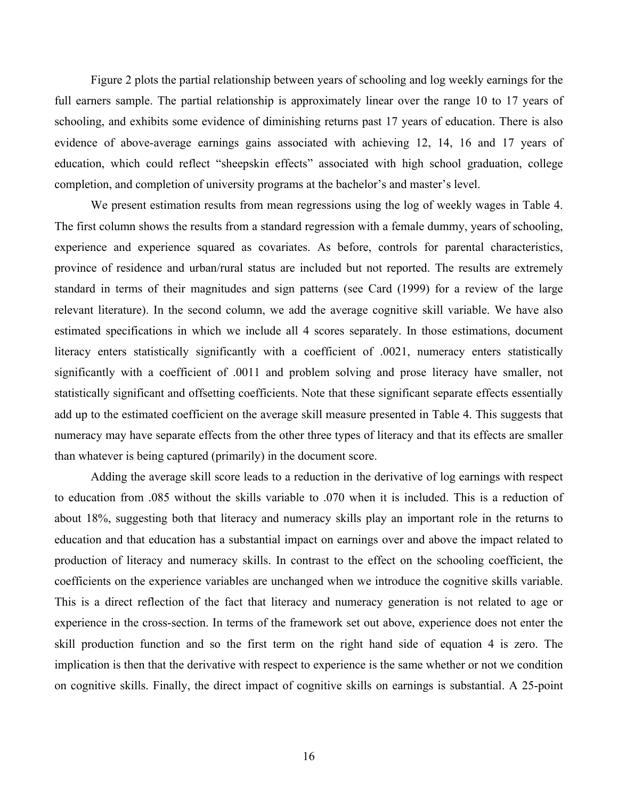Figure 2 plots the partial relationship between years of schooling and log weekly earnings for the full earners sample. The partial relationship is approximately linear over the range 10 to 17 years of schooling, and exhibits some evidence of diminishing returns past 17 years of education. There is also evidence of above-average earnings gains associated with achieving 12, 14, 16 and 17 years of education, which could reflect "sheepskin effects" associated with high school graduation, college completion, and completion of university programs at the bachelor's and master's level.

We present estimation results from mean regressions using the log of weekly wages in Table 4. The first column shows the results from a standard regression with a female dummy, years of schooling, experience and experience squared as covariates. As before, controls for parental characteristics, province of residence and urban/rural status are included but not reported. The results are extremely standard in terms of their magnitudes and sign patterns (see Card (1999) for a review of the large relevant literature). In the second column, we add the average cognitive skill variable. We have also estimated specifications in which we include all 4 scores separately. In those estimations, document literacy enters statistically significantly with a coefficient of .0021, numeracy enters statistically significantly with a coefficient of .0011 and problem solving and prose literacy have smaller, not statistically significant and offsetting coefficients. Note that these significant separate effects essentially add up to the estimated coefficient on the average skill measure presented in Table 4. This suggests that numeracy may have separate effects from the other three types of literacy and that its effects are smaller than whatever is being captured (primarily) in the document score.

Adding the average skill score leads to a reduction in the derivative of log earnings with respect to education from .085 without the skills variable to .070 when it is included. This is a reduction of about 18%, suggesting both that literacy and numeracy skills play an important role in the returns to education and that education has a substantial impact on earnings over and above the impact related to production of literacy and numeracy skills. In contrast to the effect on the schooling coefficient, the coefficients on the experience variables are unchanged when we introduce the cognitive skills variable. This is a direct reflection of the fact that literacy and numeracy generation is not related to age or experience in the cross-section. In terms of the framework set out above, experience does not enter the skill production function and so the first term on the right hand side of equation 4 is zero. The implication is then that the derivative with respect to experience is the same whether or not we condition on cognitive skills. Finally, the direct impact of cognitive skills on earnings is substantial. A 25-point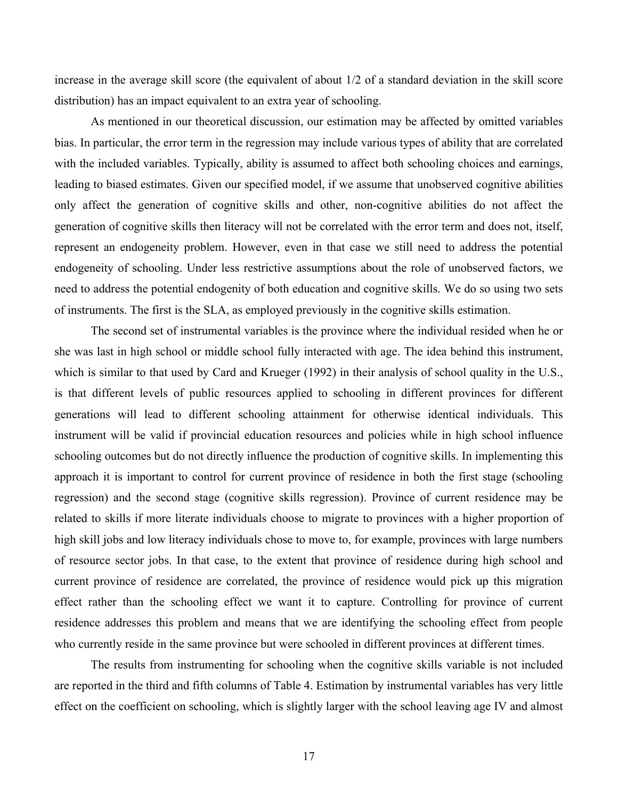increase in the average skill score (the equivalent of about 1/2 of a standard deviation in the skill score distribution) has an impact equivalent to an extra year of schooling.

As mentioned in our theoretical discussion, our estimation may be affected by omitted variables bias. In particular, the error term in the regression may include various types of ability that are correlated with the included variables. Typically, ability is assumed to affect both schooling choices and earnings, leading to biased estimates. Given our specified model, if we assume that unobserved cognitive abilities only affect the generation of cognitive skills and other, non-cognitive abilities do not affect the generation of cognitive skills then literacy will not be correlated with the error term and does not, itself, represent an endogeneity problem. However, even in that case we still need to address the potential endogeneity of schooling. Under less restrictive assumptions about the role of unobserved factors, we need to address the potential endogenity of both education and cognitive skills. We do so using two sets of instruments. The first is the SLA, as employed previously in the cognitive skills estimation.

The second set of instrumental variables is the province where the individual resided when he or she was last in high school or middle school fully interacted with age. The idea behind this instrument, which is similar to that used by Card and Krueger (1992) in their analysis of school quality in the U.S., is that different levels of public resources applied to schooling in different provinces for different generations will lead to different schooling attainment for otherwise identical individuals. This instrument will be valid if provincial education resources and policies while in high school influence schooling outcomes but do not directly influence the production of cognitive skills. In implementing this approach it is important to control for current province of residence in both the first stage (schooling regression) and the second stage (cognitive skills regression). Province of current residence may be related to skills if more literate individuals choose to migrate to provinces with a higher proportion of high skill jobs and low literacy individuals chose to move to, for example, provinces with large numbers of resource sector jobs. In that case, to the extent that province of residence during high school and current province of residence are correlated, the province of residence would pick up this migration effect rather than the schooling effect we want it to capture. Controlling for province of current residence addresses this problem and means that we are identifying the schooling effect from people who currently reside in the same province but were schooled in different provinces at different times.

The results from instrumenting for schooling when the cognitive skills variable is not included are reported in the third and fifth columns of Table 4. Estimation by instrumental variables has very little effect on the coefficient on schooling, which is slightly larger with the school leaving age IV and almost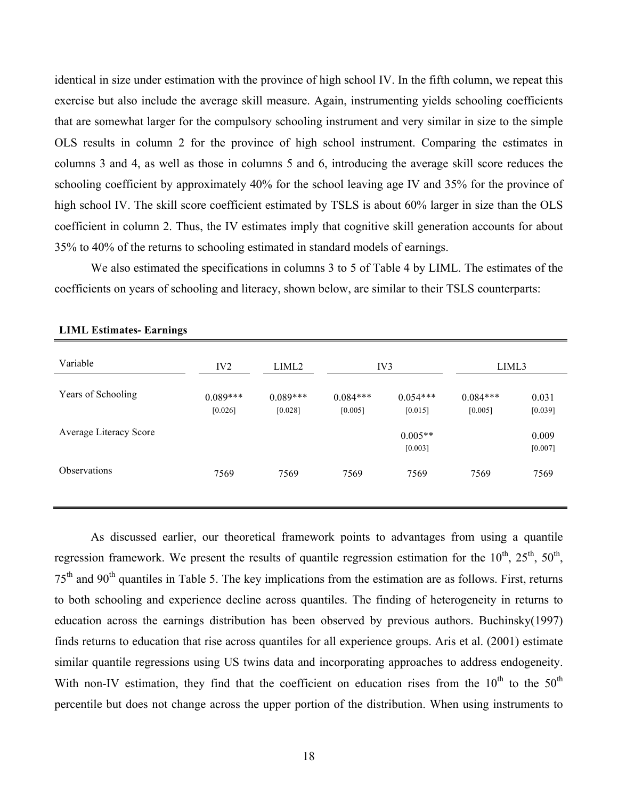identical in size under estimation with the province of high school IV. In the fifth column, we repeat this exercise but also include the average skill measure. Again, instrumenting yields schooling coefficients that are somewhat larger for the compulsory schooling instrument and very similar in size to the simple OLS results in column 2 for the province of high school instrument. Comparing the estimates in columns 3 and 4, as well as those in columns 5 and 6, introducing the average skill score reduces the schooling coefficient by approximately 40% for the school leaving age IV and 35% for the province of high school IV. The skill score coefficient estimated by TSLS is about 60% larger in size than the OLS coefficient in column 2. Thus, the IV estimates imply that cognitive skill generation accounts for about 35% to 40% of the returns to schooling estimated in standard models of earnings.

We also estimated the specifications in columns 3 to 5 of Table 4 by LIML. The estimates of the coefficients on years of schooling and literacy, shown below, are similar to their TSLS counterparts:

| Variable               | IV <sub>2</sub>       | LIML <sub>2</sub>     |                       | IV3                   | LIML3                 |                  |
|------------------------|-----------------------|-----------------------|-----------------------|-----------------------|-----------------------|------------------|
| Years of Schooling     | $0.089***$<br>[0.026] | $0.089***$<br>[0.028] | $0.084***$<br>[0.005] | $0.054***$<br>[0.015] | $0.084***$<br>[0.005] | 0.031<br>[0.039] |
| Average Literacy Score |                       |                       |                       | $0.005**$<br>[0.003]  |                       | 0.009<br>[0.007] |
| <b>Observations</b>    | 7569                  | 7569                  | 7569                  | 7569                  | 7569                  | 7569             |

## **LIML Estimates- Earnings**

As discussed earlier, our theoretical framework points to advantages from using a quantile regression framework. We present the results of quantile regression estimation for the  $10^{th}$ ,  $25^{th}$ ,  $50^{th}$ , 75th and 90th quantiles in Table 5. The key implications from the estimation are as follows. First, returns to both schooling and experience decline across quantiles. The finding of heterogeneity in returns to education across the earnings distribution has been observed by previous authors. Buchinsky(1997) finds returns to education that rise across quantiles for all experience groups. Aris et al. (2001) estimate similar quantile regressions using US twins data and incorporating approaches to address endogeneity. With non-IV estimation, they find that the coefficient on education rises from the  $10<sup>th</sup>$  to the  $50<sup>th</sup>$ percentile but does not change across the upper portion of the distribution. When using instruments to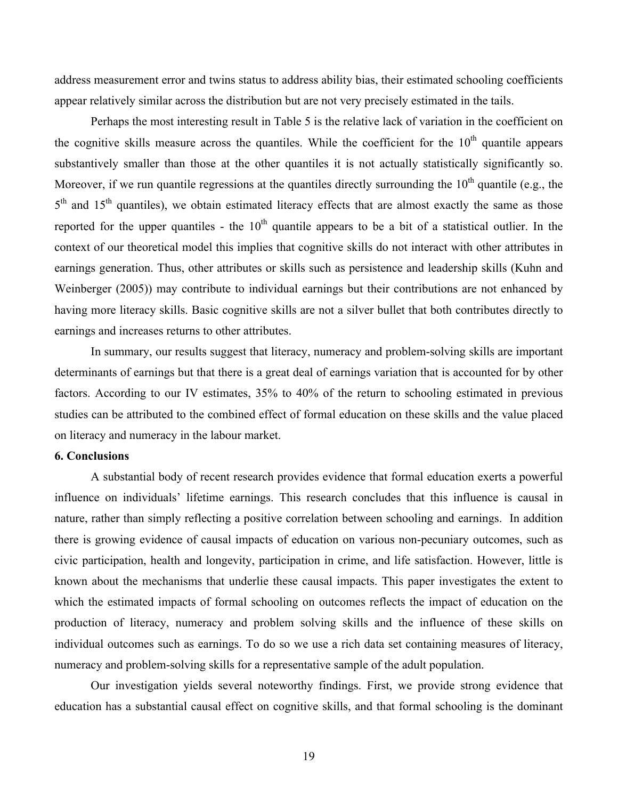address measurement error and twins status to address ability bias, their estimated schooling coefficients appear relatively similar across the distribution but are not very precisely estimated in the tails.

Perhaps the most interesting result in Table 5 is the relative lack of variation in the coefficient on the cognitive skills measure across the quantiles. While the coefficient for the  $10<sup>th</sup>$  quantile appears substantively smaller than those at the other quantiles it is not actually statistically significantly so. Moreover, if we run quantile regressions at the quantiles directly surrounding the  $10^{th}$  quantile (e.g., the  $5<sup>th</sup>$  and 15<sup>th</sup> quantiles), we obtain estimated literacy effects that are almost exactly the same as those reported for the upper quantiles - the  $10<sup>th</sup>$  quantile appears to be a bit of a statistical outlier. In the context of our theoretical model this implies that cognitive skills do not interact with other attributes in earnings generation. Thus, other attributes or skills such as persistence and leadership skills (Kuhn and Weinberger (2005)) may contribute to individual earnings but their contributions are not enhanced by having more literacy skills. Basic cognitive skills are not a silver bullet that both contributes directly to earnings and increases returns to other attributes.

In summary, our results suggest that literacy, numeracy and problem-solving skills are important determinants of earnings but that there is a great deal of earnings variation that is accounted for by other factors. According to our IV estimates, 35% to 40% of the return to schooling estimated in previous studies can be attributed to the combined effect of formal education on these skills and the value placed on literacy and numeracy in the labour market.

## **6. Conclusions**

A substantial body of recent research provides evidence that formal education exerts a powerful influence on individuals' lifetime earnings. This research concludes that this influence is causal in nature, rather than simply reflecting a positive correlation between schooling and earnings. In addition there is growing evidence of causal impacts of education on various non-pecuniary outcomes, such as civic participation, health and longevity, participation in crime, and life satisfaction. However, little is known about the mechanisms that underlie these causal impacts. This paper investigates the extent to which the estimated impacts of formal schooling on outcomes reflects the impact of education on the production of literacy, numeracy and problem solving skills and the influence of these skills on individual outcomes such as earnings. To do so we use a rich data set containing measures of literacy, numeracy and problem-solving skills for a representative sample of the adult population.

Our investigation yields several noteworthy findings. First, we provide strong evidence that education has a substantial causal effect on cognitive skills, and that formal schooling is the dominant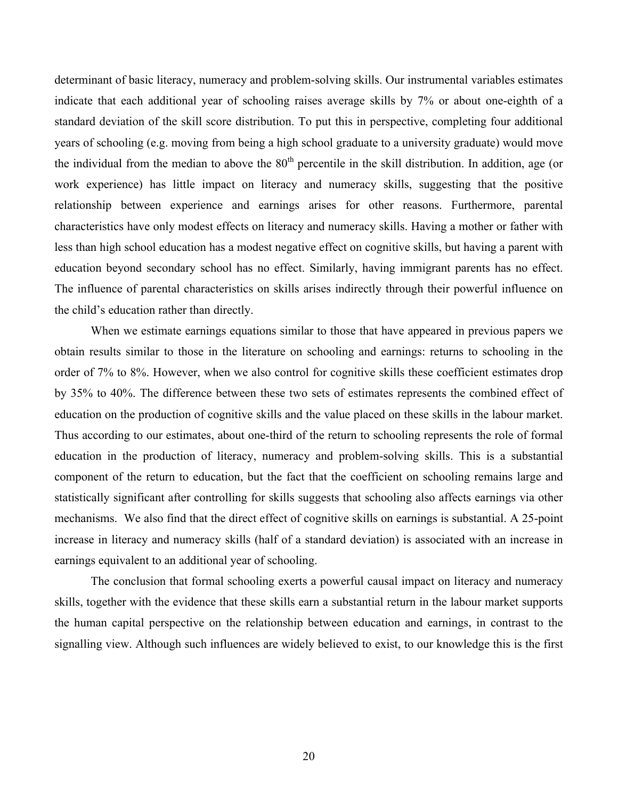determinant of basic literacy, numeracy and problem-solving skills. Our instrumental variables estimates indicate that each additional year of schooling raises average skills by 7% or about one-eighth of a standard deviation of the skill score distribution. To put this in perspective, completing four additional years of schooling (e.g. moving from being a high school graduate to a university graduate) would move the individual from the median to above the  $80<sup>th</sup>$  percentile in the skill distribution. In addition, age (or work experience) has little impact on literacy and numeracy skills, suggesting that the positive relationship between experience and earnings arises for other reasons. Furthermore, parental characteristics have only modest effects on literacy and numeracy skills. Having a mother or father with less than high school education has a modest negative effect on cognitive skills, but having a parent with education beyond secondary school has no effect. Similarly, having immigrant parents has no effect. The influence of parental characteristics on skills arises indirectly through their powerful influence on the child's education rather than directly.

When we estimate earnings equations similar to those that have appeared in previous papers we obtain results similar to those in the literature on schooling and earnings: returns to schooling in the order of 7% to 8%. However, when we also control for cognitive skills these coefficient estimates drop by 35% to 40%. The difference between these two sets of estimates represents the combined effect of education on the production of cognitive skills and the value placed on these skills in the labour market. Thus according to our estimates, about one-third of the return to schooling represents the role of formal education in the production of literacy, numeracy and problem-solving skills. This is a substantial component of the return to education, but the fact that the coefficient on schooling remains large and statistically significant after controlling for skills suggests that schooling also affects earnings via other mechanisms. We also find that the direct effect of cognitive skills on earnings is substantial. A 25-point increase in literacy and numeracy skills (half of a standard deviation) is associated with an increase in earnings equivalent to an additional year of schooling.

The conclusion that formal schooling exerts a powerful causal impact on literacy and numeracy skills, together with the evidence that these skills earn a substantial return in the labour market supports the human capital perspective on the relationship between education and earnings, in contrast to the signalling view. Although such influences are widely believed to exist, to our knowledge this is the first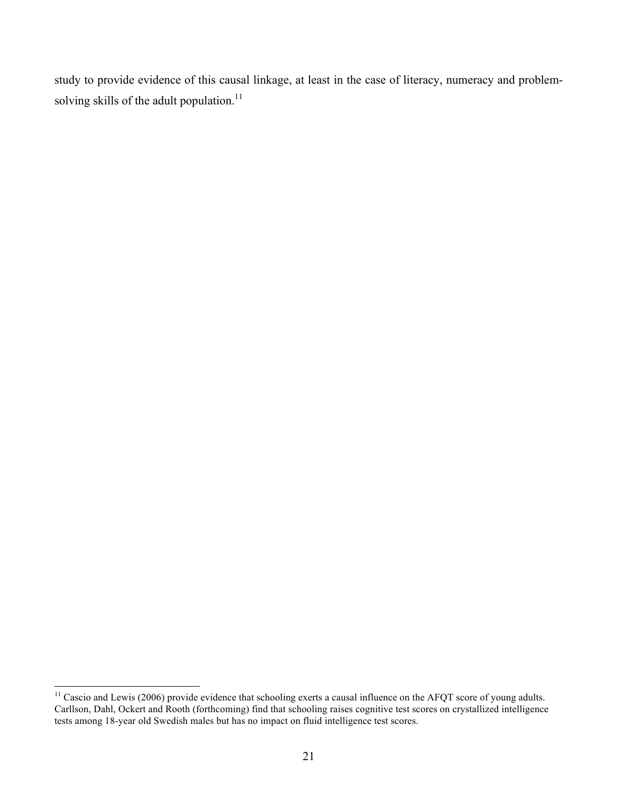study to provide evidence of this causal linkage, at least in the case of literacy, numeracy and problemsolving skills of the adult population.<sup>11</sup>

 $11$  Cascio and Lewis (2006) provide evidence that schooling exerts a causal influence on the AFQT score of young adults. Carllson, Dahl, Ockert and Rooth (forthcoming) find that schooling raises cognitive test scores on crystallized intelligence tests among 18-year old Swedish males but has no impact on fluid intelligence test scores.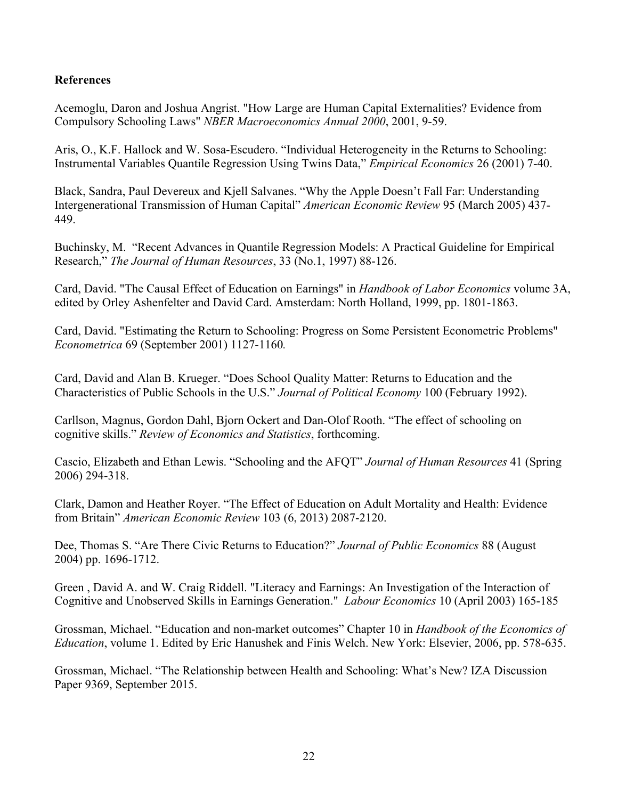# **References**

Acemoglu, Daron and Joshua Angrist. "How Large are Human Capital Externalities? Evidence from Compulsory Schooling Laws" *NBER Macroeconomics Annual 2000*, 2001, 9-59.

Aris, O., K.F. Hallock and W. Sosa-Escudero. "Individual Heterogeneity in the Returns to Schooling: Instrumental Variables Quantile Regression Using Twins Data," *Empirical Economics* 26 (2001) 7-40.

Black, Sandra, Paul Devereux and Kjell Salvanes. "Why the Apple Doesn't Fall Far: Understanding Intergenerational Transmission of Human Capital" *American Economic Review* 95 (March 2005) 437- 449.

Buchinsky, M. "Recent Advances in Quantile Regression Models: A Practical Guideline for Empirical Research," *The Journal of Human Resources*, 33 (No.1, 1997) 88-126.

Card, David. "The Causal Effect of Education on Earnings" in *Handbook of Labor Economics* volume 3A, edited by Orley Ashenfelter and David Card. Amsterdam: North Holland, 1999, pp. 1801-1863.

Card, David. "Estimating the Return to Schooling: Progress on Some Persistent Econometric Problems" *Econometrica* 69 (September 2001) 1127-1160*.* 

Card, David and Alan B. Krueger. "Does School Quality Matter: Returns to Education and the Characteristics of Public Schools in the U.S." *Journal of Political Economy* 100 (February 1992).

Carllson, Magnus, Gordon Dahl, Bjorn Ockert and Dan-Olof Rooth. "The effect of schooling on cognitive skills." *Review of Economics and Statistics*, forthcoming.

Cascio, Elizabeth and Ethan Lewis. "Schooling and the AFQT" *Journal of Human Resources* 41 (Spring 2006) 294-318.

Clark, Damon and Heather Royer. "The Effect of Education on Adult Mortality and Health: Evidence from Britain" *American Economic Review* 103 (6, 2013) 2087-2120.

Dee, Thomas S. "Are There Civic Returns to Education?" *Journal of Public Economics* 88 (August 2004) pp. 1696-1712.

Green , David A. and W. Craig Riddell. "Literacy and Earnings: An Investigation of the Interaction of Cognitive and Unobserved Skills in Earnings Generation." *Labour Economics* 10 (April 2003) 165-185

Grossman, Michael. "Education and non-market outcomes" Chapter 10 in *Handbook of the Economics of Education*, volume 1. Edited by Eric Hanushek and Finis Welch. New York: Elsevier, 2006, pp. 578-635.

Grossman, Michael. "The Relationship between Health and Schooling: What's New? IZA Discussion Paper 9369, September 2015.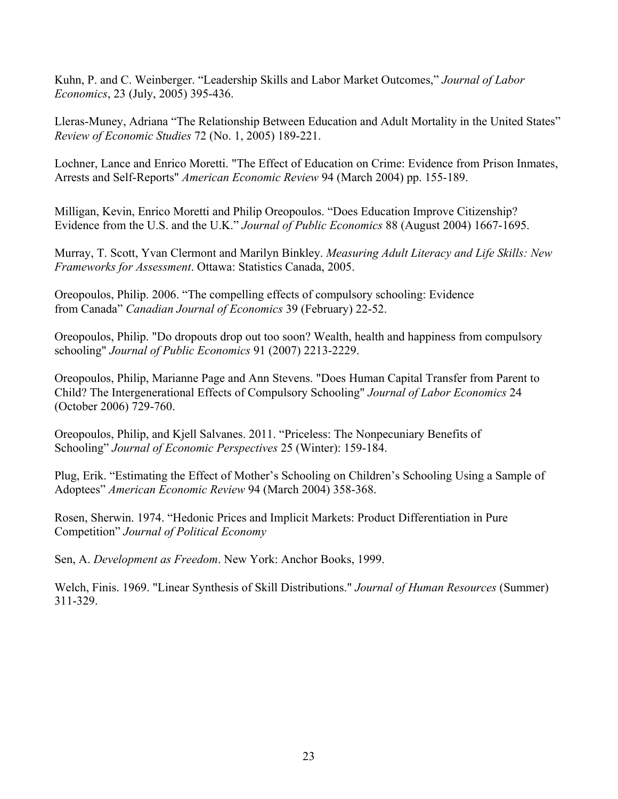Kuhn, P. and C. Weinberger. "Leadership Skills and Labor Market Outcomes," *Journal of Labor Economics*, 23 (July, 2005) 395-436.

Lleras-Muney, Adriana "The Relationship Between Education and Adult Mortality in the United States" *Review of Economic Studies* 72 (No. 1, 2005) 189-221.

Lochner, Lance and Enrico Moretti. "The Effect of Education on Crime: Evidence from Prison Inmates, Arrests and Self-Reports" *American Economic Review* 94 (March 2004) pp. 155-189.

Milligan, Kevin, Enrico Moretti and Philip Oreopoulos. "Does Education Improve Citizenship? Evidence from the U.S. and the U.K." *Journal of Public Economics* 88 (August 2004) 1667-1695.

Murray, T. Scott, Yvan Clermont and Marilyn Binkley. *Measuring Adult Literacy and Life Skills: New Frameworks for Assessment*. Ottawa: Statistics Canada, 2005.

Oreopoulos, Philip. 2006. "The compelling effects of compulsory schooling: Evidence from Canada" *Canadian Journal of Economics* 39 (February) 22-52.

Oreopoulos, Philip. "Do dropouts drop out too soon? Wealth, health and happiness from compulsory schooling" *Journal of Public Economics* 91 (2007) 2213-2229.

Oreopoulos, Philip, Marianne Page and Ann Stevens. "Does Human Capital Transfer from Parent to Child? The Intergenerational Effects of Compulsory Schooling" *Journal of Labor Economics* 24 (October 2006) 729-760.

Oreopoulos, Philip, and Kjell Salvanes. 2011. "Priceless: The Nonpecuniary Benefits of Schooling" *Journal of Economic Perspectives* 25 (Winter): 159-184.

Plug, Erik. "Estimating the Effect of Mother's Schooling on Children's Schooling Using a Sample of Adoptees" *American Economic Review* 94 (March 2004) 358-368.

Rosen, Sherwin. 1974. "Hedonic Prices and Implicit Markets: Product Differentiation in Pure Competition" *Journal of Political Economy*

Sen, A. *Development as Freedom*. New York: Anchor Books, 1999.

Welch, Finis. 1969. "Linear Synthesis of Skill Distributions." *Journal of Human Resources* (Summer) 311-329.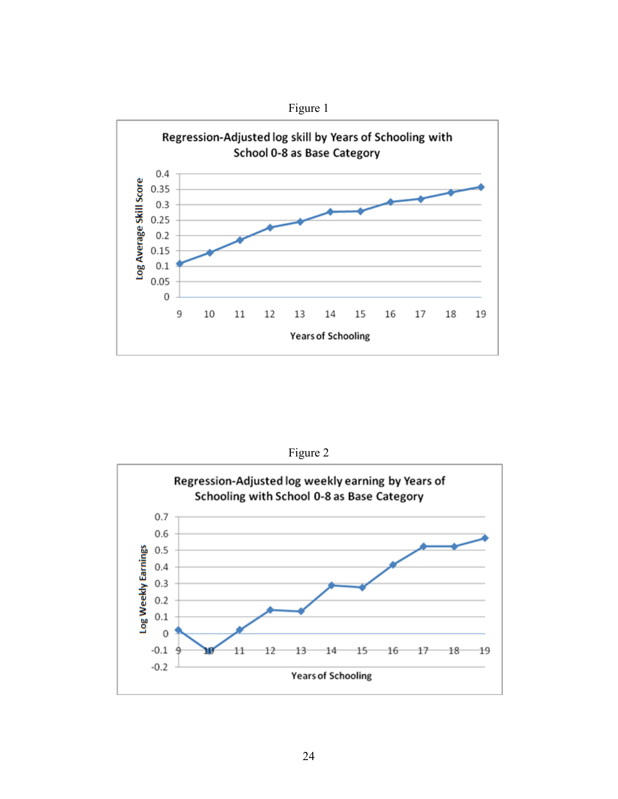

Figure 2

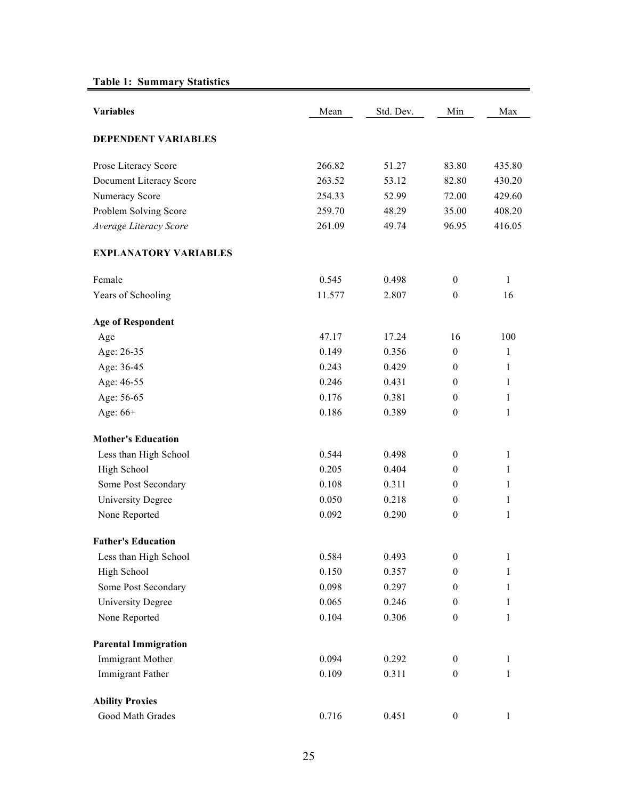|  | <b>Table 1: Summary Statistics</b> |  |
|--|------------------------------------|--|
|--|------------------------------------|--|

| <b>Variables</b>             | Mean   | Std. Dev. | Min              | Max          |
|------------------------------|--------|-----------|------------------|--------------|
| <b>DEPENDENT VARIABLES</b>   |        |           |                  |              |
| Prose Literacy Score         | 266.82 | 51.27     | 83.80            | 435.80       |
| Document Literacy Score      | 263.52 | 53.12     | 82.80            | 430.20       |
| Numeracy Score               | 254.33 | 52.99     | 72.00            | 429.60       |
| Problem Solving Score        | 259.70 | 48.29     | 35.00            | 408.20       |
| Average Literacy Score       | 261.09 | 49.74     | 96.95            | 416.05       |
| <b>EXPLANATORY VARIABLES</b> |        |           |                  |              |
| Female                       | 0.545  | 0.498     | $\mathbf{0}$     | 1            |
| Years of Schooling           | 11.577 | 2.807     | $\boldsymbol{0}$ | 16           |
| <b>Age of Respondent</b>     |        |           |                  |              |
| Age                          | 47.17  | 17.24     | 16               | 100          |
| Age: 26-35                   | 0.149  | 0.356     | $\overline{0}$   | 1            |
| Age: 36-45                   | 0.243  | 0.429     | $\theta$         | 1            |
| Age: 46-55                   | 0.246  | 0.431     | $\theta$         | 1            |
| Age: 56-65                   | 0.176  | 0.381     | $\theta$         | 1            |
| Age: 66+                     | 0.186  | 0.389     | $\mathbf{0}$     | 1            |
| <b>Mother's Education</b>    |        |           |                  |              |
| Less than High School        | 0.544  | 0.498     | $\mathbf{0}$     | 1            |
| High School                  | 0.205  | 0.404     | $\mathbf{0}$     | 1            |
| Some Post Secondary          | 0.108  | 0.311     | $\mathbf{0}$     | 1            |
| <b>University Degree</b>     | 0.050  | 0.218     | $\mathbf{0}$     | 1            |
| None Reported                | 0.092  | 0.290     | $\mathbf{0}$     | 1            |
| <b>Father's Education</b>    |        |           |                  |              |
| Less than High School        | 0.584  | 0.493     | $\boldsymbol{0}$ | $\mathbf{1}$ |
| High School                  | 0.150  | 0.357     | 0                | 1            |
| Some Post Secondary          | 0.098  | 0.297     | $\boldsymbol{0}$ | 1            |
| <b>University Degree</b>     | 0.065  | 0.246     | $\theta$         | 1            |
| None Reported                | 0.104  | 0.306     | $\boldsymbol{0}$ | $\mathbf{1}$ |
| <b>Parental Immigration</b>  |        |           |                  |              |
| Immigrant Mother             | 0.094  | 0.292     | $\boldsymbol{0}$ | 1            |
| Immigrant Father             | 0.109  | 0.311     | $\boldsymbol{0}$ | 1            |
| <b>Ability Proxies</b>       |        |           |                  |              |
| Good Math Grades             | 0.716  | 0.451     | $\boldsymbol{0}$ | 1            |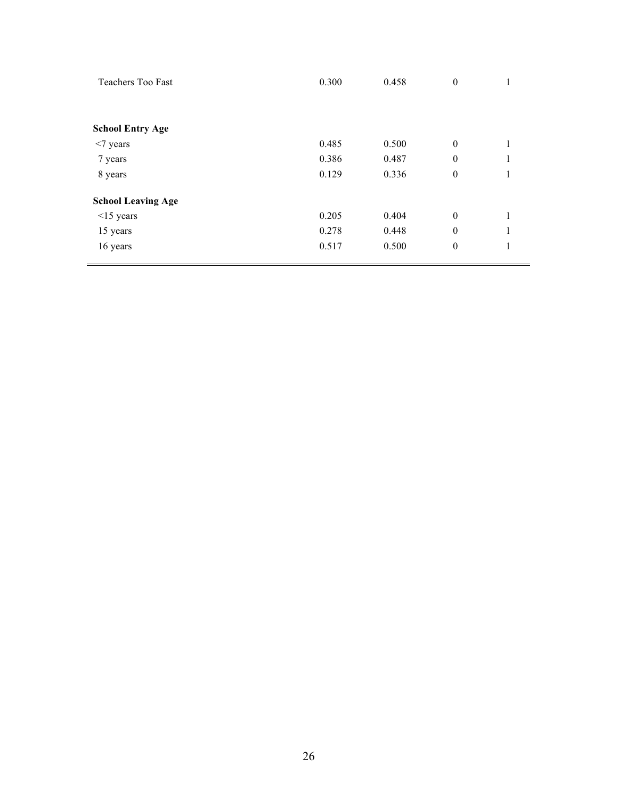| Teachers Too Fast         | 0.300 | 0.458 | $\boldsymbol{0}$ | 1 |
|---------------------------|-------|-------|------------------|---|
| <b>School Entry Age</b>   |       |       |                  |   |
| $<$ 7 years               | 0.485 | 0.500 | $\boldsymbol{0}$ | 1 |
| 7 years                   | 0.386 | 0.487 | $\theta$         | 1 |
| 8 years                   | 0.129 | 0.336 | $\boldsymbol{0}$ | 1 |
| <b>School Leaving Age</b> |       |       |                  |   |
| $\leq$ 15 years           | 0.205 | 0.404 | $\boldsymbol{0}$ | 1 |
| 15 years                  | 0.278 | 0.448 | $\boldsymbol{0}$ | 1 |
| 16 years                  | 0.517 | 0.500 | $\boldsymbol{0}$ | 1 |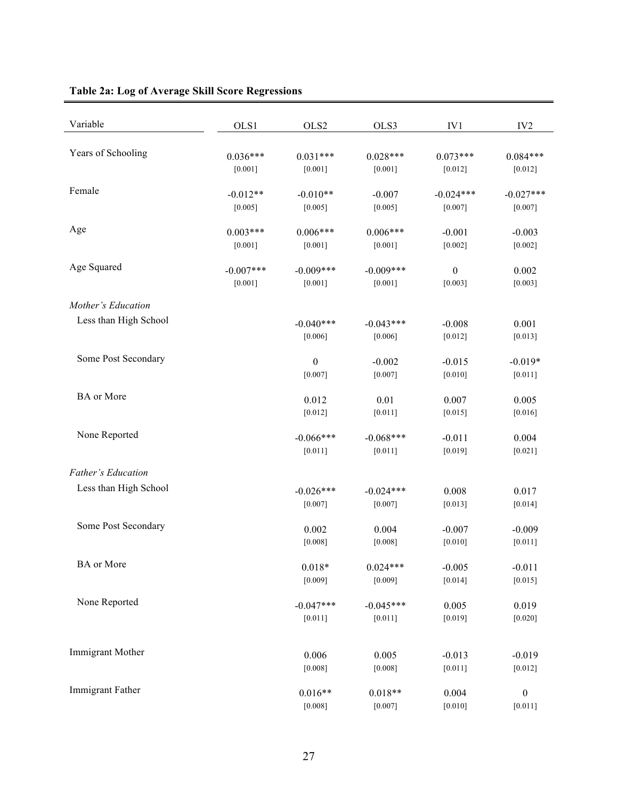| Variable              | OLS1        | OLS2             | OLS3        | IV1              | IV <sub>2</sub>  |
|-----------------------|-------------|------------------|-------------|------------------|------------------|
| Years of Schooling    | $0.036***$  | $0.031***$       | $0.028***$  | $0.073***$       | $0.084***$       |
|                       | [0.001]     | [0.001]          | $[0.001]$   | $[0.012]$        | [0.012]          |
| Female                | $-0.012**$  | $-0.010**$       | $-0.007$    | $-0.024***$      | $-0.027***$      |
|                       | [0.005]     | [0.005]          | [0.005]     | [0.007]          | [0.007]          |
| Age                   | $0.003***$  | $0.006***$       | $0.006***$  | $-0.001$         | $-0.003$         |
|                       | [0.001]     | [0.001]          | [0.001]     | [0.002]          | [0.002]          |
| Age Squared           | $-0.007***$ | $-0.009***$      | $-0.009***$ | $\boldsymbol{0}$ | 0.002            |
|                       | [0.001]     | [0.001]          | [0.001]     | [0.003]          | [0.003]          |
| Mother's Education    |             |                  |             |                  |                  |
| Less than High School |             | $-0.040***$      | $-0.043***$ | $-0.008$         | 0.001            |
|                       |             | [0.006]          | [0.006]     | $[0.012]$        | [0.013]          |
| Some Post Secondary   |             | $\boldsymbol{0}$ | $-0.002$    | $-0.015$         | $-0.019*$        |
|                       |             | [0.007]          | [0.007]     | [0.010]          | $[0.011]$        |
| <b>BA</b> or More     |             | 0.012            | 0.01        | 0.007            | 0.005            |
|                       |             | $[0.012]$        | [0.011]     | [0.015]          | [0.016]          |
| None Reported         |             | $-0.066***$      | $-0.068***$ | $-0.011$         | 0.004            |
|                       |             | [0.011]          | [0.011]     | [0.019]          | [0.021]          |
| Father's Education    |             |                  |             |                  |                  |
| Less than High School |             | $-0.026***$      | $-0.024***$ | 0.008            | 0.017            |
|                       |             | [0.007]          | [0.007]     | [0.013]          | [0.014]          |
| Some Post Secondary   |             | 0.002            | 0.004       | $-0.007$         | $-0.009$         |
|                       |             | [0.008]          | [0.008]     | $[0.010]$        | [0.011]          |
| <b>BA</b> or More     |             | $0.018*$         | $0.024***$  | $-0.005$         | $-0.011$         |
|                       |             | [0.009]          | [0.009]     | [0.014]          | [0.015]          |
| None Reported         |             | $-0.047***$      | $-0.045***$ | 0.005            | 0.019            |
|                       |             | [0.011]          | [0.011]     | [0.019]          | [0.020]          |
| Immigrant Mother      |             | 0.006            | 0.005       | $-0.013$         | $-0.019$         |
|                       |             | [0.008]          | [0.008]     | [0.011]          | [0.012]          |
| Immigrant Father      |             | $0.016**$        | $0.018**$   | 0.004            | $\boldsymbol{0}$ |
|                       |             | [0.008]          | [0.007]     | [0.010]          | [0.011]          |

۰

# **Table 2a: Log of Average Skill Score Regressions**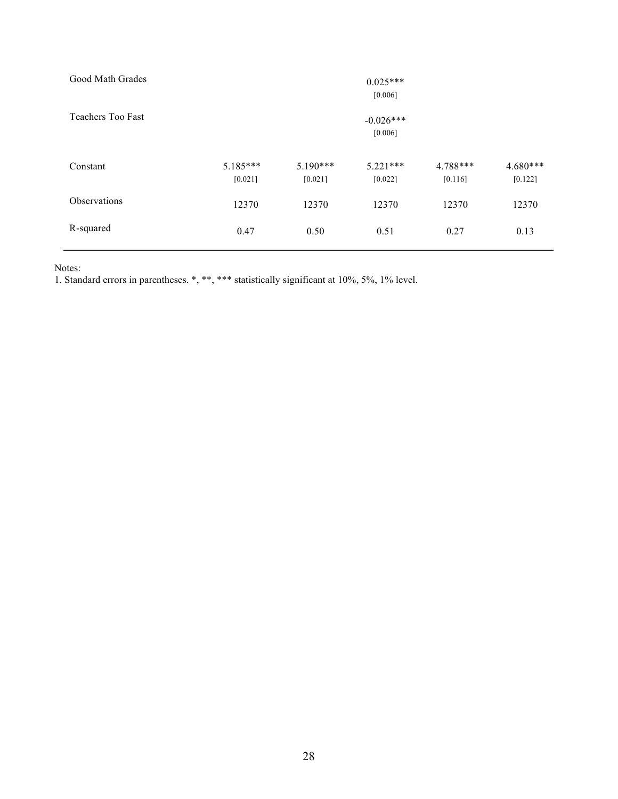| Good Math Grades    |                       |                       | $0.025***$<br>[0.006]  |                     |                       |
|---------------------|-----------------------|-----------------------|------------------------|---------------------|-----------------------|
| Teachers Too Fast   |                       |                       | $-0.026***$<br>[0.006] |                     |                       |
| Constant            | $5.185***$<br>[0.021] | $5.190***$<br>[0.021] | $5.221***$<br>[0.022]  | 4.788***<br>[0.116] | $4.680***$<br>[0.122] |
| <b>Observations</b> | 12370                 | 12370                 | 12370                  | 12370               | 12370                 |
| R-squared           | 0.47                  | 0.50                  | 0.51                   | 0.27                | 0.13                  |

Notes:

1. Standard errors in parentheses. \*, \*\*, \*\*\* statistically significant at 10%, 5%, 1% level.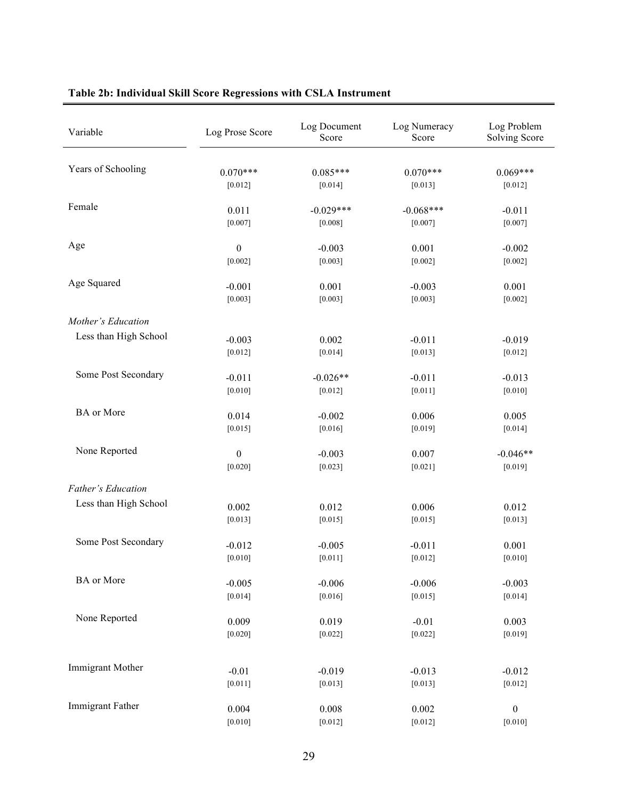| Variable              | Log Prose Score    | Log Document<br>Score | Log Numeracy<br>Score | Log Problem<br>Solving Score |
|-----------------------|--------------------|-----------------------|-----------------------|------------------------------|
| Years of Schooling    | $0.070***$         | $0.085***$            | $0.070***$            | $0.069***$                   |
|                       | $[0.012]$          | [0.014]               | [0.013]               | [0.012]                      |
| Female                | 0.011              | $-0.029***$           | $-0.068***$           | $-0.011$                     |
|                       | [0.007]            | [0.008]               | [0.007]               | [0.007]                      |
| Age                   | $\boldsymbol{0}$   | $-0.003$              | 0.001                 | $-0.002$                     |
|                       | [0.002]            | [0.003]               | [0.002]               | [0.002]                      |
| Age Squared           | $-0.001$           | 0.001                 | $-0.003$              | 0.001                        |
|                       | [0.003]            | [0.003]               | [0.003]               | [0.002]                      |
| Mother's Education    |                    |                       |                       |                              |
| Less than High School | $-0.003$           | 0.002                 | $-0.011$              | $-0.019$                     |
|                       | [0.012]            | [0.014]               | [0.013]               | [0.012]                      |
| Some Post Secondary   | $-0.011$           | $-0.026**$            | $-0.011$              | $-0.013$                     |
|                       | [0.010]            | [0.012]               | [0.011]               | [0.010]                      |
| <b>BA</b> or More     | 0.014              | $-0.002$              | 0.006                 | 0.005                        |
|                       | [0.015]            | [0.016]               | [0.019]               | [0.014]                      |
| None Reported         | $\boldsymbol{0}$   | $-0.003$              | 0.007                 | $-0.046**$                   |
|                       | [0.020]            | [0.023]               | [0.021]               | [0.019]                      |
| Father's Education    |                    |                       |                       |                              |
| Less than High School | 0.002              | 0.012                 | 0.006                 | 0.012                        |
|                       | [0.013]            | [0.015]               | [0.015]               | [0.013]                      |
| Some Post Secondary   | $-0.012$           | $-0.005$              | $-0.011$              | 0.001                        |
|                       | [0.010]            | [0.011]               | [0.012]               | [0.010]                      |
| <b>BA</b> or More     | $-0.005$           | $-0.006$              | $-0.006$              | $-0.003$                     |
|                       | [0.014]            | [0.016]               | [0.015]               | [0.014]                      |
| None Reported         | 0.009              | 0.019                 | $-0.01$               | 0.003                        |
|                       | [0.020]            | [0.022]               | [0.022]               | [0.019]                      |
| Immigrant Mother      |                    |                       |                       |                              |
|                       | $-0.01$<br>[0.011] | $-0.019$<br>[0.013]   | $-0.013$<br>[0.013]   | $-0.012$<br>[0.012]          |
| Immigrant Father      |                    |                       |                       |                              |
|                       | 0.004<br>[0.010]   | 0.008<br>[0.012]      | 0.002<br>[0.012]      | $\boldsymbol{0}$<br>[0.010]  |

# **Table 2b: Individual Skill Score Regressions with CSLA Instrument**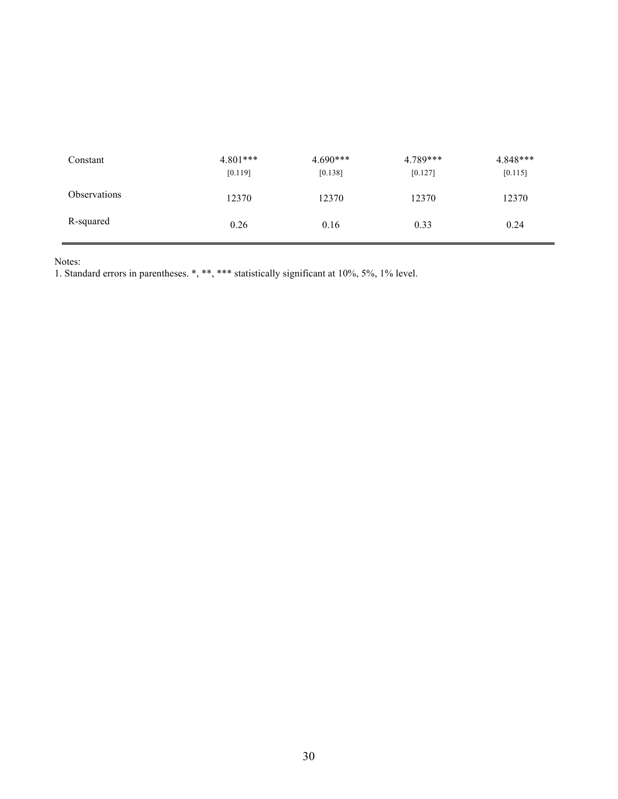| Constant                   | $4.801***$<br>[0.119] | $4.690***$<br>[0.138] | $4.789***$<br>[0.127] | 4.848***<br>[0.115] |
|----------------------------|-----------------------|-----------------------|-----------------------|---------------------|
| <i><b>Observations</b></i> | 12370                 | 12370                 | 12370                 | 12370               |
| R-squared                  | 0.26                  | 0.16                  | 0.33                  | 0.24                |

Notes:

1. Standard errors in parentheses. \*, \*\*, \*\*\* statistically significant at 10%, 5%, 1% level.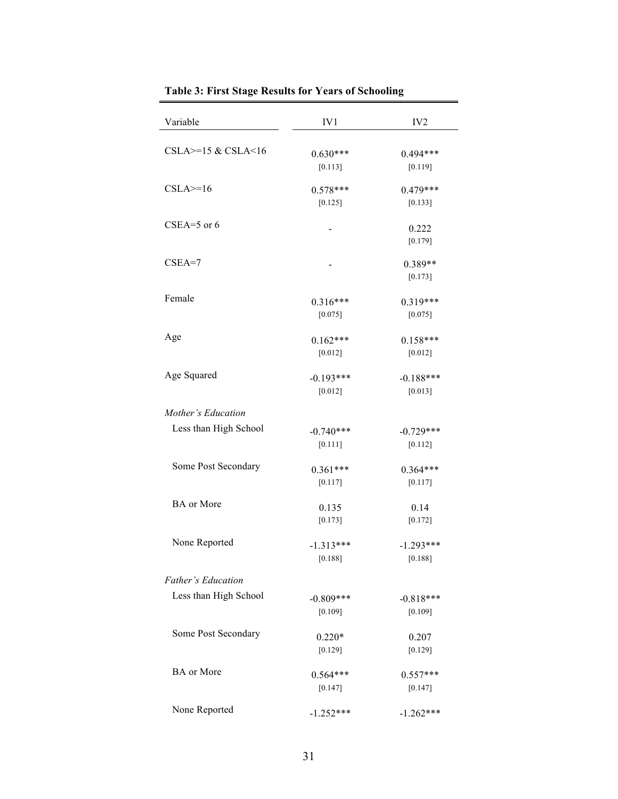| Variable                    | IV1                              | IV <sub>2</sub>                  |
|-----------------------------|----------------------------------|----------------------------------|
| CSLA $> = 15$ & CSLA $< 16$ | $0.630***$                       | $0.494***$                       |
| $CSLA \ge 16$               | [0.113]<br>$0.578***$<br>[0.125] | [0.119]<br>$0.479***$<br>[0.133] |
| CSEA= $5$ or $6$            |                                  | 0.222<br>[0.179]                 |
| $CSEA=7$                    |                                  | 0.389**<br>[0.173]               |
| Female                      | $0.316***$<br>[0.075]            | $0.319***$<br>[0.075]            |
| Age                         | $0.162***$<br>[0.012]            | $0.158***$<br>[0.012]            |
| Age Squared                 | $-0.193***$<br>[0.012]           | $-0.188***$<br>[0.013]           |
| Mother's Education          |                                  |                                  |
| Less than High School       | $-0.740***$<br>[0.111]           | $-0.729***$<br>[0.112]           |
| Some Post Secondary         | $0.361***$<br>[0.117]            | $0.364***$<br>[0.117]            |
| <b>BA</b> or More           | 0.135<br>[0.173]                 | 0.14<br>[0.172]                  |
| None Reported               | $-1.313***$<br>[0.188]           | $-1.293***$<br>[0.188]           |
| Father's Education          |                                  |                                  |
| Less than High School       | $-0.809***$<br>[0.109]           | $-0.818***$<br>[0.109]           |
| Some Post Secondary         | $0.220*$<br>[0.129]              | 0.207<br>[0.129]                 |
| <b>BA</b> or More           | $0.564***$<br>[0.147]            | $0.557***$<br>[0.147]            |
| None Reported               | $-1.252***$                      | $-1.262***$                      |

|  |  |  |  | <b>Table 3: First Stage Results for Years of Schooling</b> |  |
|--|--|--|--|------------------------------------------------------------|--|
|  |  |  |  |                                                            |  |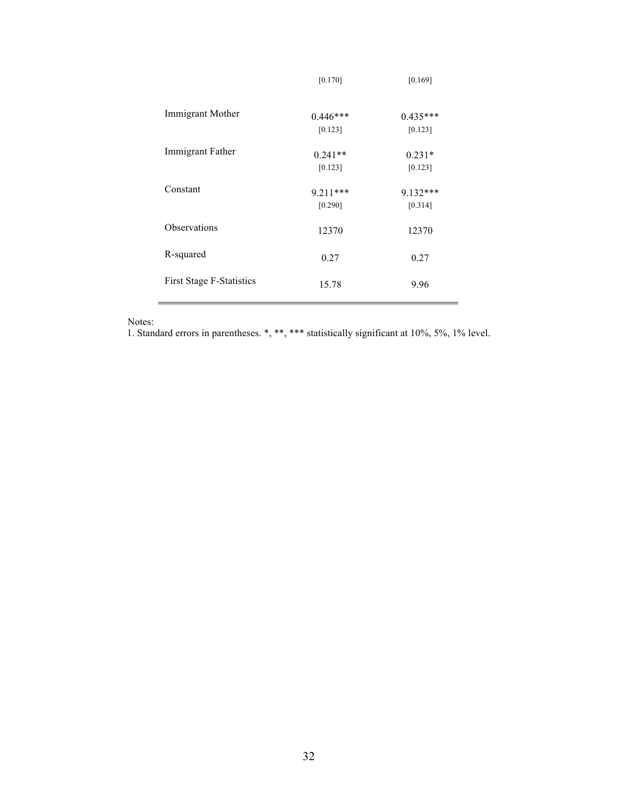|                                 | [0.170]               | [0.169]               |
|---------------------------------|-----------------------|-----------------------|
| Immigrant Mother                | $0.446***$<br>[0.123] | $0.435***$<br>[0.123] |
| Immigrant Father                | $0.241**$             | $0.231*$              |
|                                 | [0.123]               | [0.123]               |
| Constant                        | $9.211***$            | $9.132***$            |
|                                 | [0.290]               | [0.314]               |
| <b>Observations</b>             | 12370                 | 12370                 |
| R-squared                       | 0.27                  | 0.27                  |
| <b>First Stage F-Statistics</b> | 15.78                 | 9.96                  |

Notes:

1. Standard errors in parentheses. \*, \*\*, \*\*\* statistically significant at 10%, 5%, 1% level.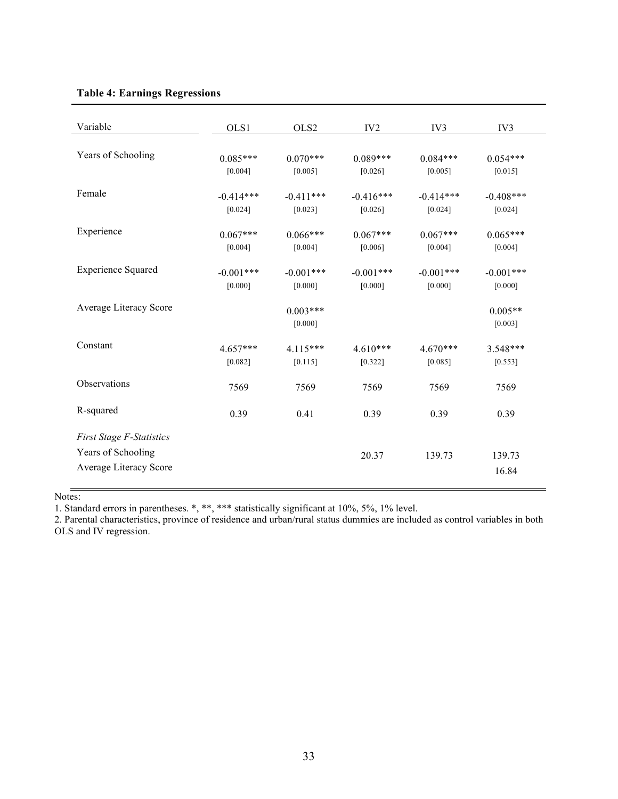## **Table 4: Earnings Regressions**

| Variable                                                                        | OLS1                    | OLS2                   | IV <sub>2</sub>        | IV3                    | IV3                     |
|---------------------------------------------------------------------------------|-------------------------|------------------------|------------------------|------------------------|-------------------------|
| Years of Schooling                                                              | $0.085***$<br>[0.004]   | $0.070***$<br>[0.005]  | $0.089***$<br>[0.026]  | $0.084***$<br>[0.005]  | $0.054***$<br>$[0.015]$ |
| Female                                                                          | $-0.414***$<br>[0.024]  | $-0.411***$<br>[0.023] | $-0.416***$<br>[0.026] | $-0.414***$<br>[0.024] | $-0.408$ ***<br>[0.024] |
| Experience                                                                      | $0.067***$<br>[0.004]   | $0.066***$<br>[0.004]  | $0.067***$<br>[0.006]  | $0.067***$<br>[0.004]  | $0.065***$<br>[0.004]   |
| <b>Experience Squared</b>                                                       | $-0.001***$<br>[0.000]  | $-0.001***$<br>[0.000] | $-0.001***$<br>[0.000] | $-0.001***$<br>[0.000] | $-0.001***$<br>[0.000]  |
| Average Literacy Score                                                          |                         | $0.003***$<br>[0.000]  |                        |                        | $0.005**$<br>[0.003]    |
| Constant                                                                        | $4.657***$<br>$[0.082]$ | $4.115***$<br>[0.115]  | $4.610***$<br>[0.322]  | $4.670***$<br>[0.085]  | $3.548***$<br>[0.553]   |
| Observations                                                                    | 7569                    | 7569                   | 7569                   | 7569                   | 7569                    |
| R-squared                                                                       | 0.39                    | 0.41                   | 0.39                   | 0.39                   | 0.39                    |
| <b>First Stage F-Statistics</b><br>Years of Schooling<br>Average Literacy Score |                         |                        | 20.37                  | 139.73                 | 139.73<br>16.84         |

Notes:

1. Standard errors in parentheses. \*, \*\*, \*\*\* statistically significant at 10%, 5%, 1% level.

2. Parental characteristics, province of residence and urban/rural status dummies are included as control variables in both OLS and IV regression.